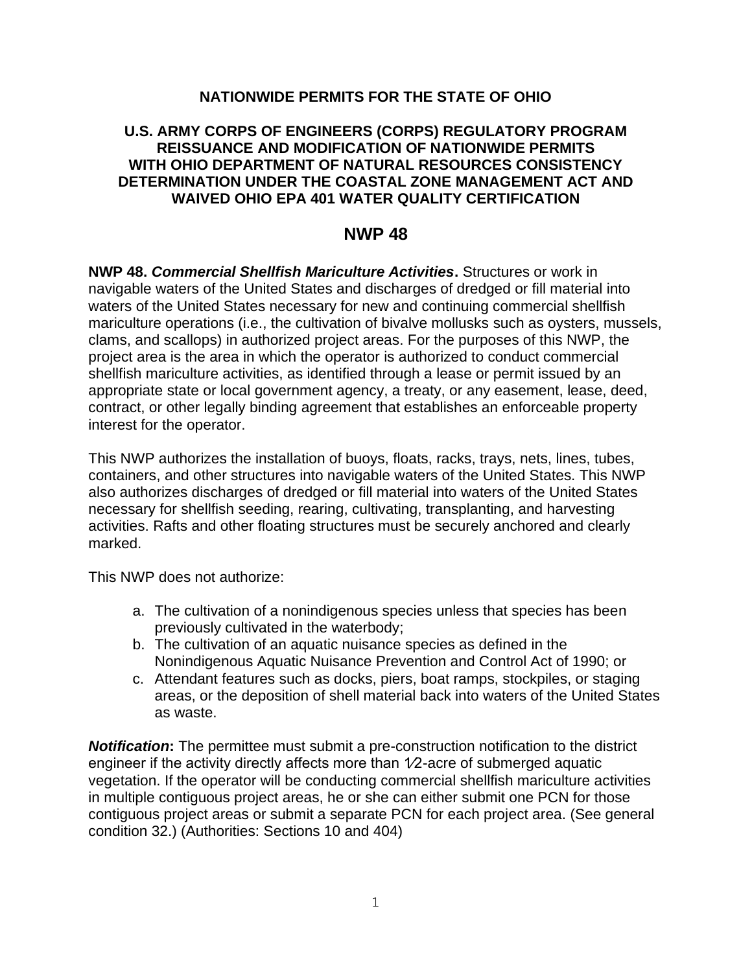#### **NATIONWIDE PERMITS FOR THE STATE OF OHIO**

#### **U.S. ARMY CORPS OF ENGINEERS (CORPS) REGULATORY PROGRAM REISSUANCE AND MODIFICATION OF NATIONWIDE PERMITS WITH OHIO DEPARTMENT OF NATURAL RESOURCES CONSISTENCY DETERMINATION UNDER THE COASTAL ZONE MANAGEMENT ACT AND WAIVED OHIO EPA 401 WATER QUALITY CERTIFICATION**

# **NWP 48**

**NWP 48.** *Commercial Shellfish Mariculture Activities***.** Structures or work in navigable waters of the United States and discharges of dredged or fill material into waters of the United States necessary for new and continuing commercial shellfish mariculture operations (i.e., the cultivation of bivalve mollusks such as oysters, mussels, clams, and scallops) in authorized project areas. For the purposes of this NWP, the project area is the area in which the operator is authorized to conduct commercial shellfish mariculture activities, as identified through a lease or permit issued by an appropriate state or local government agency, a treaty, or any easement, lease, deed, contract, or other legally binding agreement that establishes an enforceable property interest for the operator.

This NWP authorizes the installation of buoys, floats, racks, trays, nets, lines, tubes, containers, and other structures into navigable waters of the United States. This NWP also authorizes discharges of dredged or fill material into waters of the United States necessary for shellfish seeding, rearing, cultivating, transplanting, and harvesting activities. Rafts and other floating structures must be securely anchored and clearly marked.

This NWP does not authorize:

- a. The cultivation of a nonindigenous species unless that species has been previously cultivated in the waterbody;
- b. The cultivation of an aquatic nuisance species as defined in the Nonindigenous Aquatic Nuisance Prevention and Control Act of 1990; or
- c. Attendant features such as docks, piers, boat ramps, stockpiles, or staging areas, or the deposition of shell material back into waters of the United States as waste.

**Notification:** The permittee must submit a pre-construction notification to the district engineer if the activity directly affects more than 1/2-acre of submerged aquatic vegetation. If the operator will be conducting commercial shellfish mariculture activities in multiple contiguous project areas, he or she can either submit one PCN for those contiguous project areas or submit a separate PCN for each project area. (See general condition 32.) (Authorities: Sections 10 and 404)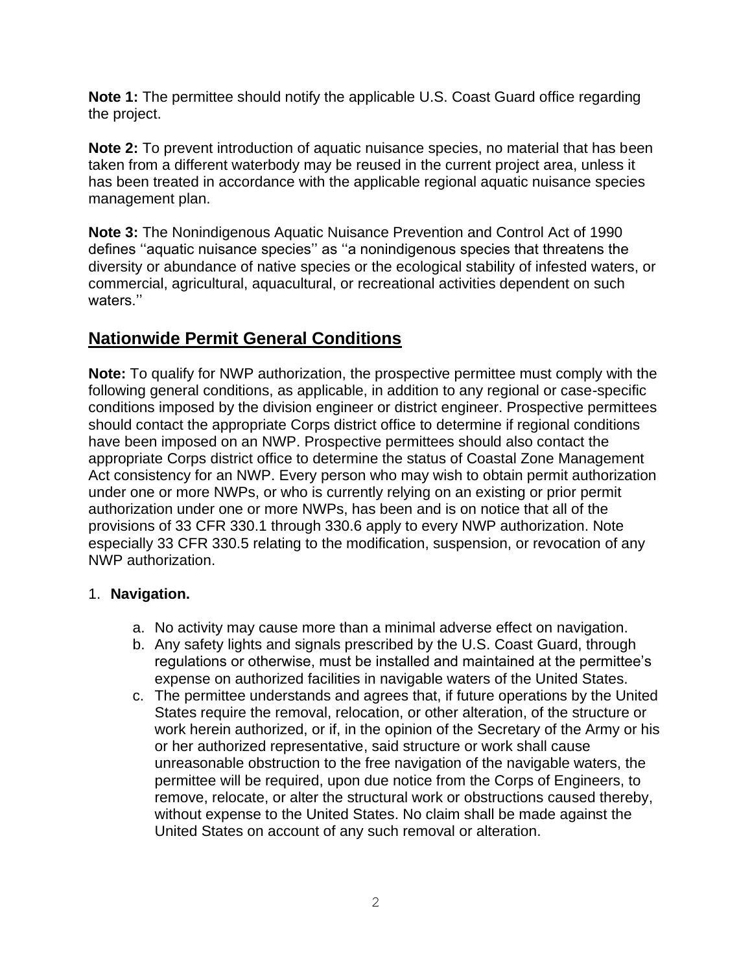**Note 1:** The permittee should notify the applicable U.S. Coast Guard office regarding the project.

**Note 2:** To prevent introduction of aquatic nuisance species, no material that has been taken from a different waterbody may be reused in the current project area, unless it has been treated in accordance with the applicable regional aquatic nuisance species management plan.

**Note 3:** The Nonindigenous Aquatic Nuisance Prevention and Control Act of 1990 defines ''aquatic nuisance species'' as ''a nonindigenous species that threatens the diversity or abundance of native species or the ecological stability of infested waters, or commercial, agricultural, aquacultural, or recreational activities dependent on such waters.''

# **Nationwide Permit General Conditions**

**Note:** To qualify for NWP authorization, the prospective permittee must comply with the following general conditions, as applicable, in addition to any regional or case-specific conditions imposed by the division engineer or district engineer. Prospective permittees should contact the appropriate Corps district office to determine if regional conditions have been imposed on an NWP. Prospective permittees should also contact the appropriate Corps district office to determine the status of Coastal Zone Management Act consistency for an NWP. Every person who may wish to obtain permit authorization under one or more NWPs, or who is currently relying on an existing or prior permit authorization under one or more NWPs, has been and is on notice that all of the provisions of 33 CFR 330.1 through 330.6 apply to every NWP authorization. Note especially 33 CFR 330.5 relating to the modification, suspension, or revocation of any NWP authorization.

## 1. **Navigation.**

- a. No activity may cause more than a minimal adverse effect on navigation.
- b. Any safety lights and signals prescribed by the U.S. Coast Guard, through regulations or otherwise, must be installed and maintained at the permittee's expense on authorized facilities in navigable waters of the United States.
- c. The permittee understands and agrees that, if future operations by the United States require the removal, relocation, or other alteration, of the structure or work herein authorized, or if, in the opinion of the Secretary of the Army or his or her authorized representative, said structure or work shall cause unreasonable obstruction to the free navigation of the navigable waters, the permittee will be required, upon due notice from the Corps of Engineers, to remove, relocate, or alter the structural work or obstructions caused thereby, without expense to the United States. No claim shall be made against the United States on account of any such removal or alteration.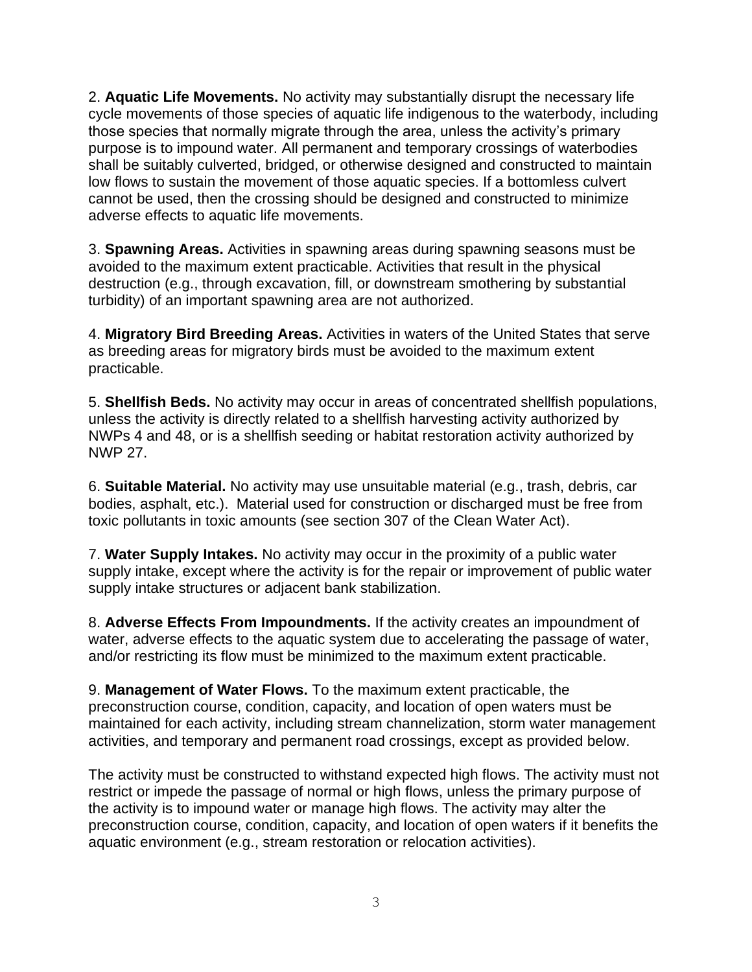2. **Aquatic Life Movements.** No activity may substantially disrupt the necessary life cycle movements of those species of aquatic life indigenous to the waterbody, including those species that normally migrate through the area, unless the activity's primary purpose is to impound water. All permanent and temporary crossings of waterbodies shall be suitably culverted, bridged, or otherwise designed and constructed to maintain low flows to sustain the movement of those aquatic species. If a bottomless culvert cannot be used, then the crossing should be designed and constructed to minimize adverse effects to aquatic life movements.

3. **Spawning Areas.** Activities in spawning areas during spawning seasons must be avoided to the maximum extent practicable. Activities that result in the physical destruction (e.g., through excavation, fill, or downstream smothering by substantial turbidity) of an important spawning area are not authorized.

4. **Migratory Bird Breeding Areas.** Activities in waters of the United States that serve as breeding areas for migratory birds must be avoided to the maximum extent practicable.

5. **Shellfish Beds.** No activity may occur in areas of concentrated shellfish populations, unless the activity is directly related to a shellfish harvesting activity authorized by NWPs 4 and 48, or is a shellfish seeding or habitat restoration activity authorized by NWP 27.

6. **Suitable Material.** No activity may use unsuitable material (e.g., trash, debris, car bodies, asphalt, etc.). Material used for construction or discharged must be free from toxic pollutants in toxic amounts (see section 307 of the Clean Water Act).

7. **Water Supply Intakes.** No activity may occur in the proximity of a public water supply intake, except where the activity is for the repair or improvement of public water supply intake structures or adjacent bank stabilization.

8. **Adverse Effects From Impoundments.** If the activity creates an impoundment of water, adverse effects to the aquatic system due to accelerating the passage of water, and/or restricting its flow must be minimized to the maximum extent practicable.

9. **Management of Water Flows.** To the maximum extent practicable, the preconstruction course, condition, capacity, and location of open waters must be maintained for each activity, including stream channelization, storm water management activities, and temporary and permanent road crossings, except as provided below.

The activity must be constructed to withstand expected high flows. The activity must not restrict or impede the passage of normal or high flows, unless the primary purpose of the activity is to impound water or manage high flows. The activity may alter the preconstruction course, condition, capacity, and location of open waters if it benefits the aquatic environment (e.g., stream restoration or relocation activities).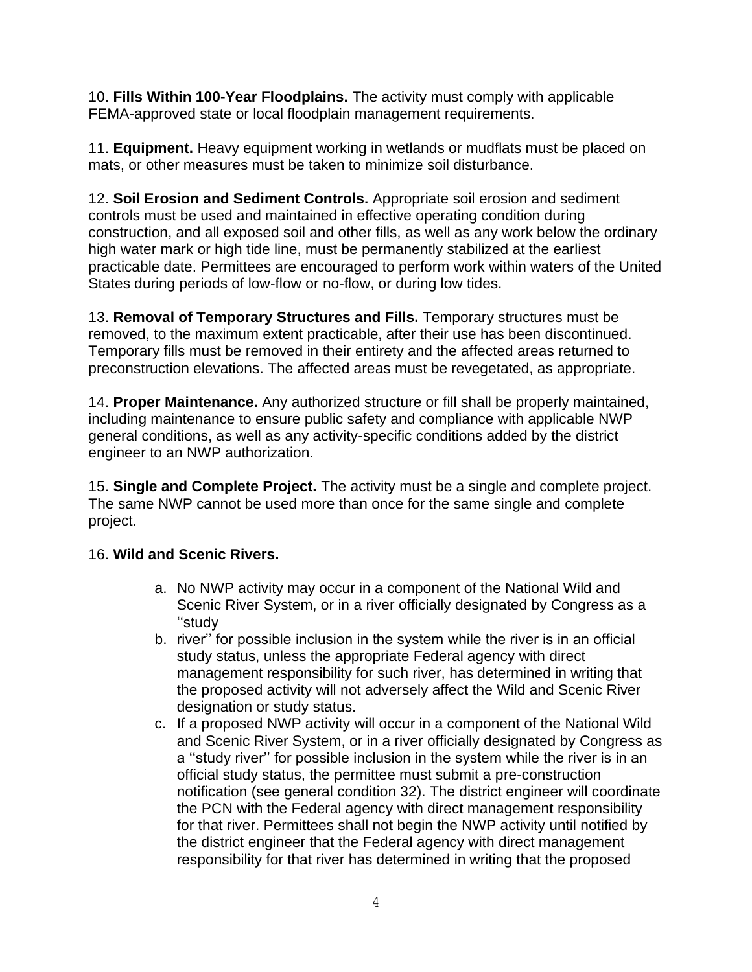10. **Fills Within 100-Year Floodplains.** The activity must comply with applicable FEMA-approved state or local floodplain management requirements.

11. **Equipment.** Heavy equipment working in wetlands or mudflats must be placed on mats, or other measures must be taken to minimize soil disturbance.

12. **Soil Erosion and Sediment Controls.** Appropriate soil erosion and sediment controls must be used and maintained in effective operating condition during construction, and all exposed soil and other fills, as well as any work below the ordinary high water mark or high tide line, must be permanently stabilized at the earliest practicable date. Permittees are encouraged to perform work within waters of the United States during periods of low-flow or no-flow, or during low tides.

13. **Removal of Temporary Structures and Fills.** Temporary structures must be removed, to the maximum extent practicable, after their use has been discontinued. Temporary fills must be removed in their entirety and the affected areas returned to preconstruction elevations. The affected areas must be revegetated, as appropriate.

14. **Proper Maintenance.** Any authorized structure or fill shall be properly maintained, including maintenance to ensure public safety and compliance with applicable NWP general conditions, as well as any activity-specific conditions added by the district engineer to an NWP authorization.

15. **Single and Complete Project.** The activity must be a single and complete project. The same NWP cannot be used more than once for the same single and complete project.

## 16. **Wild and Scenic Rivers.**

- a. No NWP activity may occur in a component of the National Wild and Scenic River System, or in a river officially designated by Congress as a ''study
- b. river'' for possible inclusion in the system while the river is in an official study status, unless the appropriate Federal agency with direct management responsibility for such river, has determined in writing that the proposed activity will not adversely affect the Wild and Scenic River designation or study status.
- c. If a proposed NWP activity will occur in a component of the National Wild and Scenic River System, or in a river officially designated by Congress as a ''study river'' for possible inclusion in the system while the river is in an official study status, the permittee must submit a pre-construction notification (see general condition 32). The district engineer will coordinate the PCN with the Federal agency with direct management responsibility for that river. Permittees shall not begin the NWP activity until notified by the district engineer that the Federal agency with direct management responsibility for that river has determined in writing that the proposed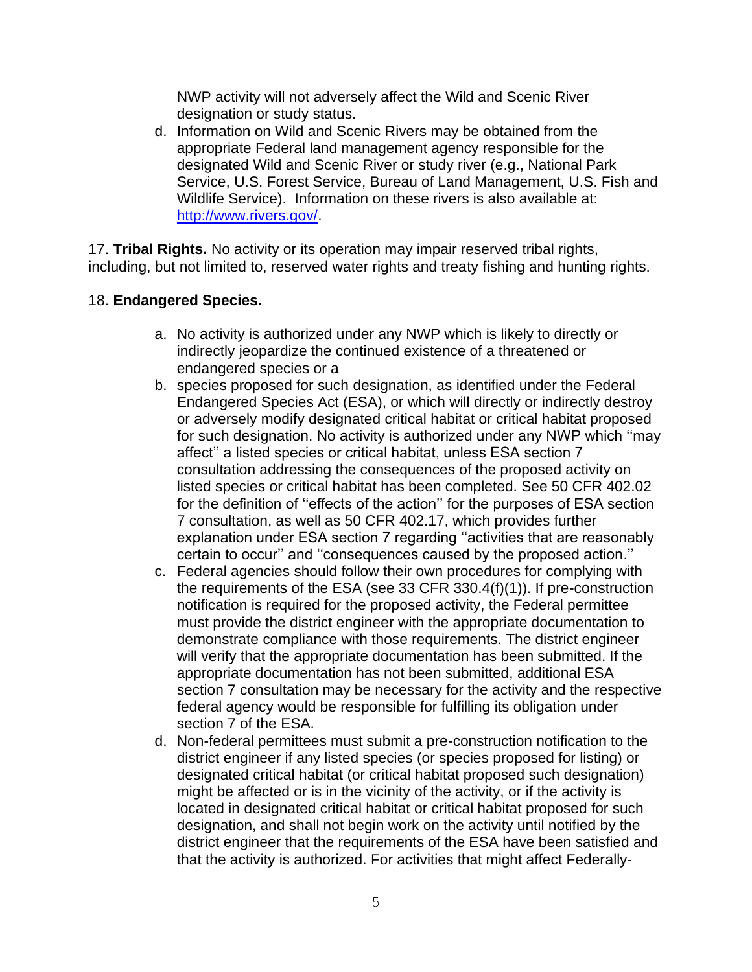NWP activity will not adversely affect the Wild and Scenic River designation or study status.

d. Information on Wild and Scenic Rivers may be obtained from the appropriate Federal land management agency responsible for the designated Wild and Scenic River or study river (e.g., National Park Service, U.S. Forest Service, Bureau of Land Management, U.S. Fish and Wildlife Service). Information on these rivers is also available at: [http://www.rivers.gov/.](http://www.rivers.gov/)

17. **Tribal Rights.** No activity or its operation may impair reserved tribal rights, including, but not limited to, reserved water rights and treaty fishing and hunting rights.

#### 18. **Endangered Species.**

- a. No activity is authorized under any NWP which is likely to directly or indirectly jeopardize the continued existence of a threatened or endangered species or a
- b. species proposed for such designation, as identified under the Federal Endangered Species Act (ESA), or which will directly or indirectly destroy or adversely modify designated critical habitat or critical habitat proposed for such designation. No activity is authorized under any NWP which ''may affect'' a listed species or critical habitat, unless ESA section 7 consultation addressing the consequences of the proposed activity on listed species or critical habitat has been completed. See 50 CFR 402.02 for the definition of ''effects of the action'' for the purposes of ESA section 7 consultation, as well as 50 CFR 402.17, which provides further explanation under ESA section 7 regarding ''activities that are reasonably certain to occur'' and ''consequences caused by the proposed action.''
- c. Federal agencies should follow their own procedures for complying with the requirements of the ESA (see 33 CFR 330.4(f)(1)). If pre-construction notification is required for the proposed activity, the Federal permittee must provide the district engineer with the appropriate documentation to demonstrate compliance with those requirements. The district engineer will verify that the appropriate documentation has been submitted. If the appropriate documentation has not been submitted, additional ESA section 7 consultation may be necessary for the activity and the respective federal agency would be responsible for fulfilling its obligation under section 7 of the ESA.
- d. Non-federal permittees must submit a pre-construction notification to the district engineer if any listed species (or species proposed for listing) or designated critical habitat (or critical habitat proposed such designation) might be affected or is in the vicinity of the activity, or if the activity is located in designated critical habitat or critical habitat proposed for such designation, and shall not begin work on the activity until notified by the district engineer that the requirements of the ESA have been satisfied and that the activity is authorized. For activities that might affect Federally-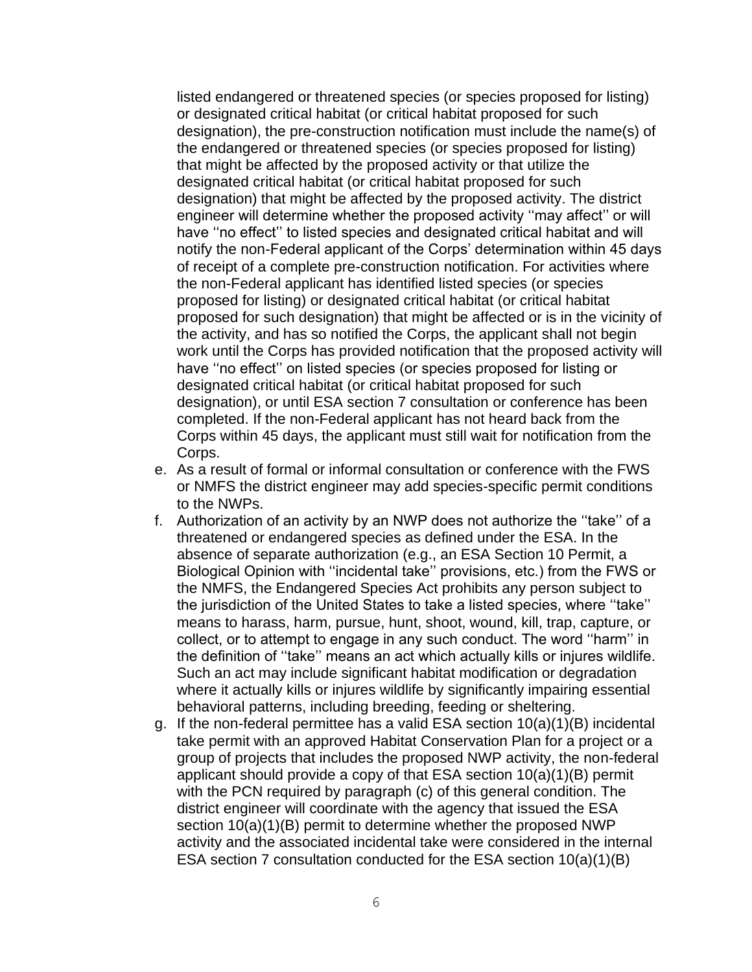listed endangered or threatened species (or species proposed for listing) or designated critical habitat (or critical habitat proposed for such designation), the pre-construction notification must include the name(s) of the endangered or threatened species (or species proposed for listing) that might be affected by the proposed activity or that utilize the designated critical habitat (or critical habitat proposed for such designation) that might be affected by the proposed activity. The district engineer will determine whether the proposed activity ''may affect'' or will have ''no effect'' to listed species and designated critical habitat and will notify the non-Federal applicant of the Corps' determination within 45 days of receipt of a complete pre-construction notification. For activities where the non-Federal applicant has identified listed species (or species proposed for listing) or designated critical habitat (or critical habitat proposed for such designation) that might be affected or is in the vicinity of the activity, and has so notified the Corps, the applicant shall not begin work until the Corps has provided notification that the proposed activity will have ''no effect'' on listed species (or species proposed for listing or designated critical habitat (or critical habitat proposed for such designation), or until ESA section 7 consultation or conference has been completed. If the non-Federal applicant has not heard back from the Corps within 45 days, the applicant must still wait for notification from the Corps.

- e. As a result of formal or informal consultation or conference with the FWS or NMFS the district engineer may add species-specific permit conditions to the NWPs.
- f. Authorization of an activity by an NWP does not authorize the ''take'' of a threatened or endangered species as defined under the ESA. In the absence of separate authorization (e.g., an ESA Section 10 Permit, a Biological Opinion with ''incidental take'' provisions, etc.) from the FWS or the NMFS, the Endangered Species Act prohibits any person subject to the jurisdiction of the United States to take a listed species, where ''take'' means to harass, harm, pursue, hunt, shoot, wound, kill, trap, capture, or collect, or to attempt to engage in any such conduct. The word ''harm'' in the definition of ''take'' means an act which actually kills or injures wildlife. Such an act may include significant habitat modification or degradation where it actually kills or injures wildlife by significantly impairing essential behavioral patterns, including breeding, feeding or sheltering.
- g. If the non-federal permittee has a valid ESA section 10(a)(1)(B) incidental take permit with an approved Habitat Conservation Plan for a project or a group of projects that includes the proposed NWP activity, the non-federal applicant should provide a copy of that ESA section 10(a)(1)(B) permit with the PCN required by paragraph (c) of this general condition. The district engineer will coordinate with the agency that issued the ESA section 10(a)(1)(B) permit to determine whether the proposed NWP activity and the associated incidental take were considered in the internal ESA section 7 consultation conducted for the ESA section 10(a)(1)(B)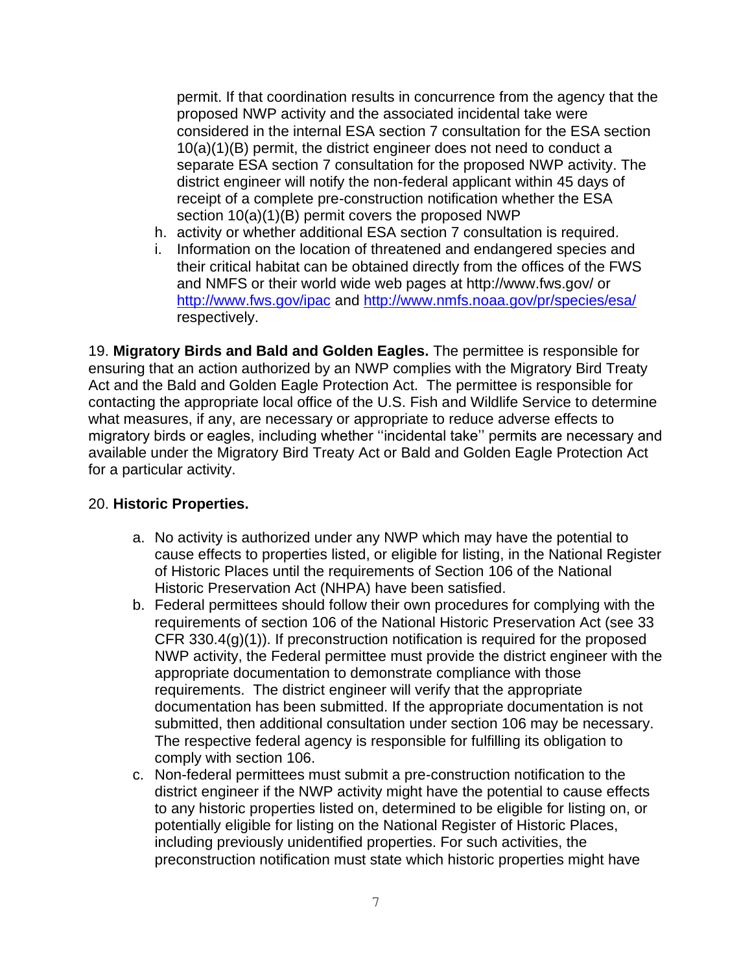permit. If that coordination results in concurrence from the agency that the proposed NWP activity and the associated incidental take were considered in the internal ESA section 7 consultation for the ESA section 10(a)(1)(B) permit, the district engineer does not need to conduct a separate ESA section 7 consultation for the proposed NWP activity. The district engineer will notify the non-federal applicant within 45 days of receipt of a complete pre-construction notification whether the ESA section 10(a)(1)(B) permit covers the proposed NWP

- h. activity or whether additional ESA section 7 consultation is required.
- i. Information on the location of threatened and endangered species and their critical habitat can be obtained directly from the offices of the FWS and NMFS or their world wide web pages at http://www.fws.gov/ or <http://www.fws.gov/ipac> and<http://www.nmfs.noaa.gov/pr/species/esa/> respectively.

19. **Migratory Birds and Bald and Golden Eagles.** The permittee is responsible for ensuring that an action authorized by an NWP complies with the Migratory Bird Treaty Act and the Bald and Golden Eagle Protection Act. The permittee is responsible for contacting the appropriate local office of the U.S. Fish and Wildlife Service to determine what measures, if any, are necessary or appropriate to reduce adverse effects to migratory birds or eagles, including whether ''incidental take'' permits are necessary and available under the Migratory Bird Treaty Act or Bald and Golden Eagle Protection Act for a particular activity.

#### 20. **Historic Properties.**

- a. No activity is authorized under any NWP which may have the potential to cause effects to properties listed, or eligible for listing, in the National Register of Historic Places until the requirements of Section 106 of the National Historic Preservation Act (NHPA) have been satisfied.
- b. Federal permittees should follow their own procedures for complying with the requirements of section 106 of the National Historic Preservation Act (see 33 CFR 330.4(g)(1)). If preconstruction notification is required for the proposed NWP activity, the Federal permittee must provide the district engineer with the appropriate documentation to demonstrate compliance with those requirements. The district engineer will verify that the appropriate documentation has been submitted. If the appropriate documentation is not submitted, then additional consultation under section 106 may be necessary. The respective federal agency is responsible for fulfilling its obligation to comply with section 106.
- c. Non-federal permittees must submit a pre-construction notification to the district engineer if the NWP activity might have the potential to cause effects to any historic properties listed on, determined to be eligible for listing on, or potentially eligible for listing on the National Register of Historic Places, including previously unidentified properties. For such activities, the preconstruction notification must state which historic properties might have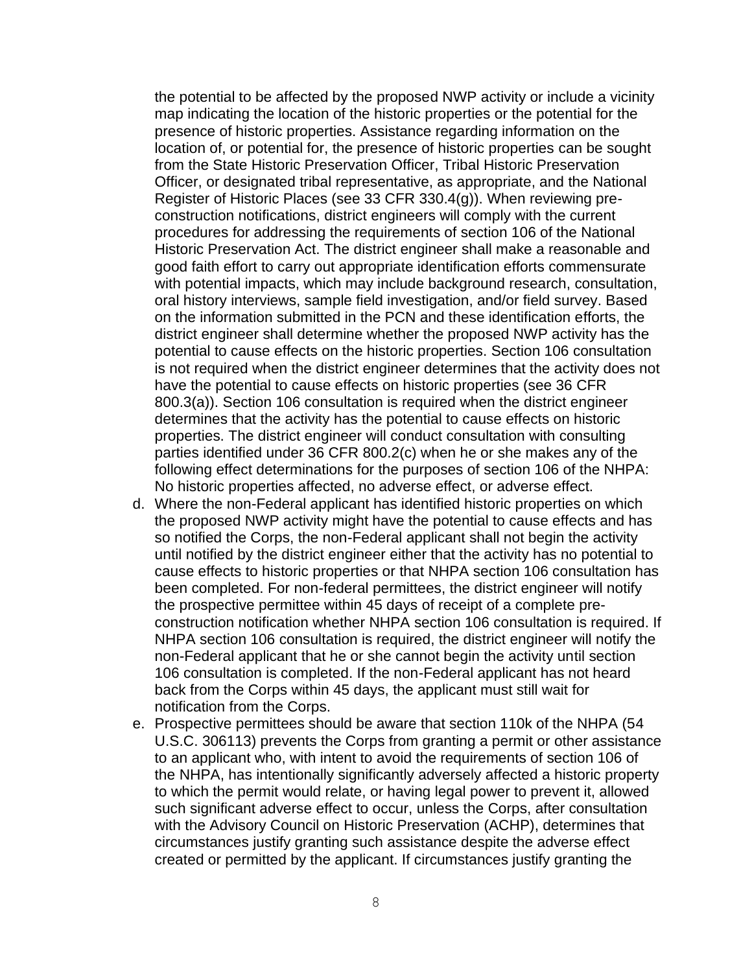the potential to be affected by the proposed NWP activity or include a vicinity map indicating the location of the historic properties or the potential for the presence of historic properties. Assistance regarding information on the location of, or potential for, the presence of historic properties can be sought from the State Historic Preservation Officer, Tribal Historic Preservation Officer, or designated tribal representative, as appropriate, and the National Register of Historic Places (see 33 CFR 330.4(g)). When reviewing preconstruction notifications, district engineers will comply with the current procedures for addressing the requirements of section 106 of the National Historic Preservation Act. The district engineer shall make a reasonable and good faith effort to carry out appropriate identification efforts commensurate with potential impacts, which may include background research, consultation, oral history interviews, sample field investigation, and/or field survey. Based on the information submitted in the PCN and these identification efforts, the district engineer shall determine whether the proposed NWP activity has the potential to cause effects on the historic properties. Section 106 consultation is not required when the district engineer determines that the activity does not have the potential to cause effects on historic properties (see 36 CFR 800.3(a)). Section 106 consultation is required when the district engineer determines that the activity has the potential to cause effects on historic properties. The district engineer will conduct consultation with consulting parties identified under 36 CFR 800.2(c) when he or she makes any of the following effect determinations for the purposes of section 106 of the NHPA: No historic properties affected, no adverse effect, or adverse effect.

- d. Where the non-Federal applicant has identified historic properties on which the proposed NWP activity might have the potential to cause effects and has so notified the Corps, the non-Federal applicant shall not begin the activity until notified by the district engineer either that the activity has no potential to cause effects to historic properties or that NHPA section 106 consultation has been completed. For non-federal permittees, the district engineer will notify the prospective permittee within 45 days of receipt of a complete preconstruction notification whether NHPA section 106 consultation is required. If NHPA section 106 consultation is required, the district engineer will notify the non-Federal applicant that he or she cannot begin the activity until section 106 consultation is completed. If the non-Federal applicant has not heard back from the Corps within 45 days, the applicant must still wait for notification from the Corps.
- e. Prospective permittees should be aware that section 110k of the NHPA (54 U.S.C. 306113) prevents the Corps from granting a permit or other assistance to an applicant who, with intent to avoid the requirements of section 106 of the NHPA, has intentionally significantly adversely affected a historic property to which the permit would relate, or having legal power to prevent it, allowed such significant adverse effect to occur, unless the Corps, after consultation with the Advisory Council on Historic Preservation (ACHP), determines that circumstances justify granting such assistance despite the adverse effect created or permitted by the applicant. If circumstances justify granting the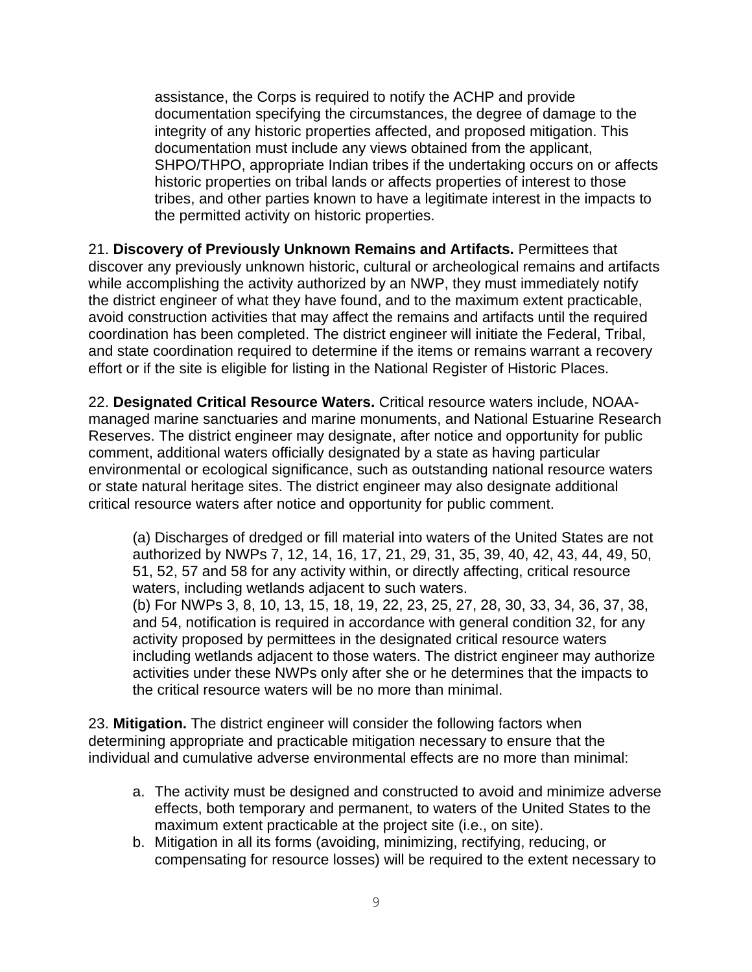assistance, the Corps is required to notify the ACHP and provide documentation specifying the circumstances, the degree of damage to the integrity of any historic properties affected, and proposed mitigation. This documentation must include any views obtained from the applicant, SHPO/THPO, appropriate Indian tribes if the undertaking occurs on or affects historic properties on tribal lands or affects properties of interest to those tribes, and other parties known to have a legitimate interest in the impacts to the permitted activity on historic properties.

21. **Discovery of Previously Unknown Remains and Artifacts.** Permittees that discover any previously unknown historic, cultural or archeological remains and artifacts while accomplishing the activity authorized by an NWP, they must immediately notify the district engineer of what they have found, and to the maximum extent practicable, avoid construction activities that may affect the remains and artifacts until the required coordination has been completed. The district engineer will initiate the Federal, Tribal, and state coordination required to determine if the items or remains warrant a recovery effort or if the site is eligible for listing in the National Register of Historic Places.

22. **Designated Critical Resource Waters.** Critical resource waters include, NOAAmanaged marine sanctuaries and marine monuments, and National Estuarine Research Reserves. The district engineer may designate, after notice and opportunity for public comment, additional waters officially designated by a state as having particular environmental or ecological significance, such as outstanding national resource waters or state natural heritage sites. The district engineer may also designate additional critical resource waters after notice and opportunity for public comment.

(a) Discharges of dredged or fill material into waters of the United States are not authorized by NWPs 7, 12, 14, 16, 17, 21, 29, 31, 35, 39, 40, 42, 43, 44, 49, 50, 51, 52, 57 and 58 for any activity within, or directly affecting, critical resource waters, including wetlands adjacent to such waters. (b) For NWPs 3, 8, 10, 13, 15, 18, 19, 22, 23, 25, 27, 28, 30, 33, 34, 36, 37, 38, and 54, notification is required in accordance with general condition 32, for any activity proposed by permittees in the designated critical resource waters including wetlands adjacent to those waters. The district engineer may authorize

activities under these NWPs only after she or he determines that the impacts to the critical resource waters will be no more than minimal.

23. **Mitigation.** The district engineer will consider the following factors when determining appropriate and practicable mitigation necessary to ensure that the individual and cumulative adverse environmental effects are no more than minimal:

- a. The activity must be designed and constructed to avoid and minimize adverse effects, both temporary and permanent, to waters of the United States to the maximum extent practicable at the project site (i.e., on site).
- b. Mitigation in all its forms (avoiding, minimizing, rectifying, reducing, or compensating for resource losses) will be required to the extent necessary to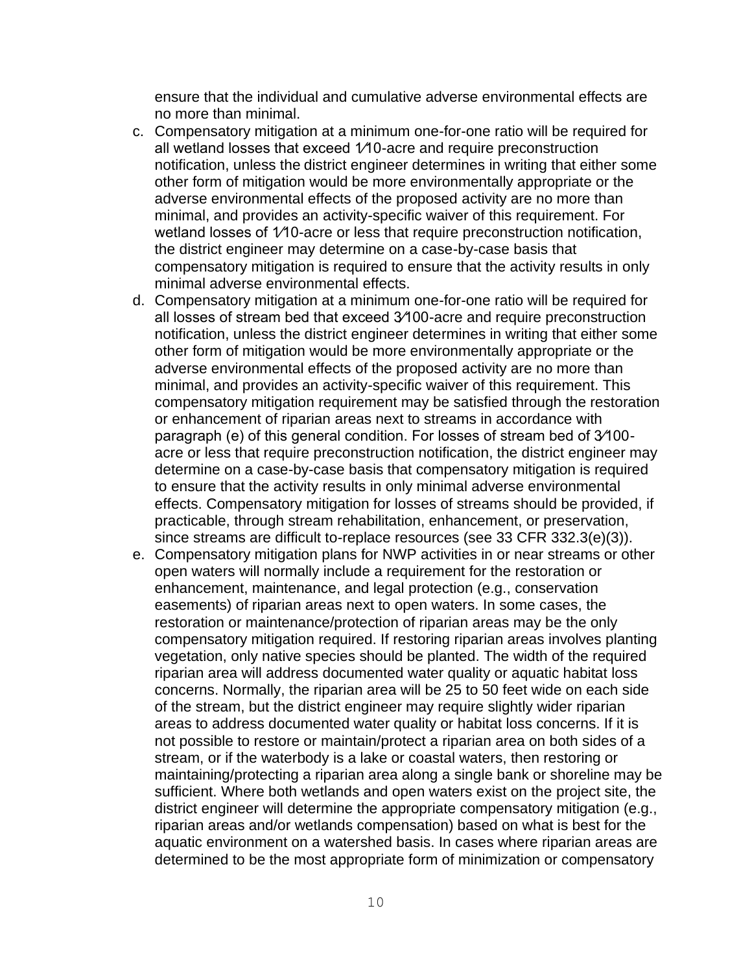ensure that the individual and cumulative adverse environmental effects are no more than minimal.

- c. Compensatory mitigation at a minimum one-for-one ratio will be required for all wetland losses that exceed 1⁄10-acre and require preconstruction notification, unless the district engineer determines in writing that either some other form of mitigation would be more environmentally appropriate or the adverse environmental effects of the proposed activity are no more than minimal, and provides an activity-specific waiver of this requirement. For wetland losses of 1/10-acre or less that require preconstruction notification, the district engineer may determine on a case-by-case basis that compensatory mitigation is required to ensure that the activity results in only minimal adverse environmental effects.
- d. Compensatory mitigation at a minimum one-for-one ratio will be required for all losses of stream bed that exceed 3⁄100-acre and require preconstruction notification, unless the district engineer determines in writing that either some other form of mitigation would be more environmentally appropriate or the adverse environmental effects of the proposed activity are no more than minimal, and provides an activity-specific waiver of this requirement. This compensatory mitigation requirement may be satisfied through the restoration or enhancement of riparian areas next to streams in accordance with paragraph (e) of this general condition. For losses of stream bed of 3⁄100 acre or less that require preconstruction notification, the district engineer may determine on a case-by-case basis that compensatory mitigation is required to ensure that the activity results in only minimal adverse environmental effects. Compensatory mitigation for losses of streams should be provided, if practicable, through stream rehabilitation, enhancement, or preservation, since streams are difficult to-replace resources (see 33 CFR 332.3(e)(3)).
- e. Compensatory mitigation plans for NWP activities in or near streams or other open waters will normally include a requirement for the restoration or enhancement, maintenance, and legal protection (e.g., conservation easements) of riparian areas next to open waters. In some cases, the restoration or maintenance/protection of riparian areas may be the only compensatory mitigation required. If restoring riparian areas involves planting vegetation, only native species should be planted. The width of the required riparian area will address documented water quality or aquatic habitat loss concerns. Normally, the riparian area will be 25 to 50 feet wide on each side of the stream, but the district engineer may require slightly wider riparian areas to address documented water quality or habitat loss concerns. If it is not possible to restore or maintain/protect a riparian area on both sides of a stream, or if the waterbody is a lake or coastal waters, then restoring or maintaining/protecting a riparian area along a single bank or shoreline may be sufficient. Where both wetlands and open waters exist on the project site, the district engineer will determine the appropriate compensatory mitigation (e.g., riparian areas and/or wetlands compensation) based on what is best for the aquatic environment on a watershed basis. In cases where riparian areas are determined to be the most appropriate form of minimization or compensatory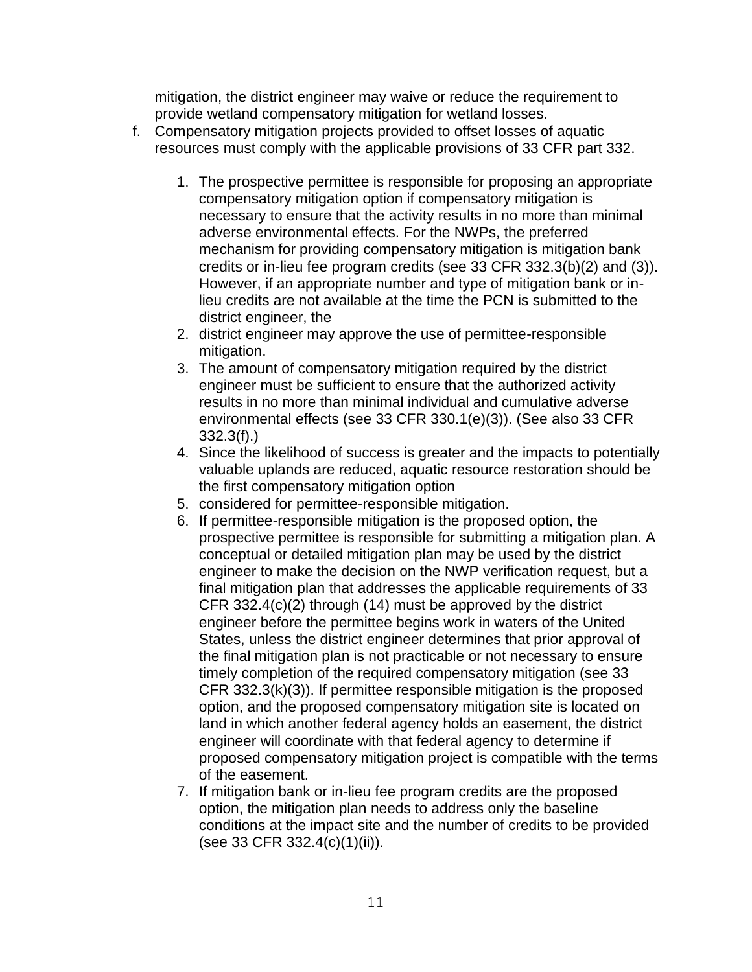mitigation, the district engineer may waive or reduce the requirement to provide wetland compensatory mitigation for wetland losses.

- f. Compensatory mitigation projects provided to offset losses of aquatic resources must comply with the applicable provisions of 33 CFR part 332.
	- 1. The prospective permittee is responsible for proposing an appropriate compensatory mitigation option if compensatory mitigation is necessary to ensure that the activity results in no more than minimal adverse environmental effects. For the NWPs, the preferred mechanism for providing compensatory mitigation is mitigation bank credits or in-lieu fee program credits (see 33 CFR 332.3(b)(2) and (3)). However, if an appropriate number and type of mitigation bank or inlieu credits are not available at the time the PCN is submitted to the district engineer, the
	- 2. district engineer may approve the use of permittee-responsible mitigation.
	- 3. The amount of compensatory mitigation required by the district engineer must be sufficient to ensure that the authorized activity results in no more than minimal individual and cumulative adverse environmental effects (see 33 CFR 330.1(e)(3)). (See also 33 CFR 332.3(f).)
	- 4. Since the likelihood of success is greater and the impacts to potentially valuable uplands are reduced, aquatic resource restoration should be the first compensatory mitigation option
	- 5. considered for permittee-responsible mitigation.
	- 6. If permittee-responsible mitigation is the proposed option, the prospective permittee is responsible for submitting a mitigation plan. A conceptual or detailed mitigation plan may be used by the district engineer to make the decision on the NWP verification request, but a final mitigation plan that addresses the applicable requirements of 33 CFR 332.4(c)(2) through (14) must be approved by the district engineer before the permittee begins work in waters of the United States, unless the district engineer determines that prior approval of the final mitigation plan is not practicable or not necessary to ensure timely completion of the required compensatory mitigation (see 33 CFR 332.3(k)(3)). If permittee responsible mitigation is the proposed option, and the proposed compensatory mitigation site is located on land in which another federal agency holds an easement, the district engineer will coordinate with that federal agency to determine if proposed compensatory mitigation project is compatible with the terms of the easement.
	- 7. If mitigation bank or in-lieu fee program credits are the proposed option, the mitigation plan needs to address only the baseline conditions at the impact site and the number of credits to be provided (see 33 CFR 332.4(c)(1)(ii)).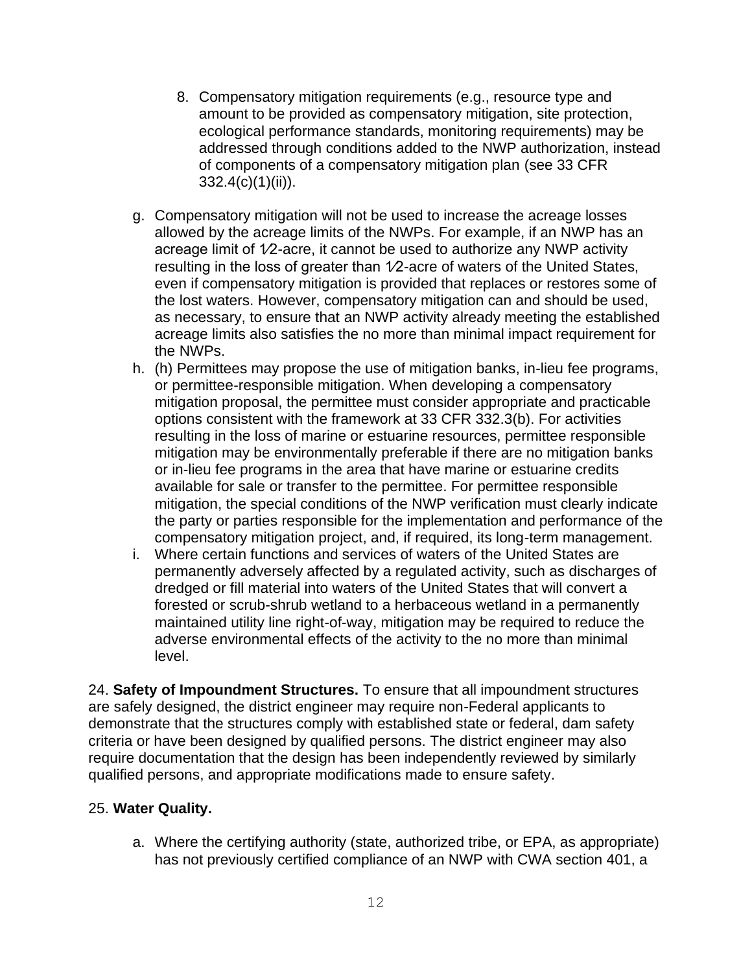- 8. Compensatory mitigation requirements (e.g., resource type and amount to be provided as compensatory mitigation, site protection, ecological performance standards, monitoring requirements) may be addressed through conditions added to the NWP authorization, instead of components of a compensatory mitigation plan (see 33 CFR 332.4(c)(1)(ii)).
- g. Compensatory mitigation will not be used to increase the acreage losses allowed by the acreage limits of the NWPs. For example, if an NWP has an acreage limit of 1⁄2-acre, it cannot be used to authorize any NWP activity resulting in the loss of greater than 1⁄2-acre of waters of the United States, even if compensatory mitigation is provided that replaces or restores some of the lost waters. However, compensatory mitigation can and should be used, as necessary, to ensure that an NWP activity already meeting the established acreage limits also satisfies the no more than minimal impact requirement for the NWPs.
- h. (h) Permittees may propose the use of mitigation banks, in-lieu fee programs, or permittee-responsible mitigation. When developing a compensatory mitigation proposal, the permittee must consider appropriate and practicable options consistent with the framework at 33 CFR 332.3(b). For activities resulting in the loss of marine or estuarine resources, permittee responsible mitigation may be environmentally preferable if there are no mitigation banks or in-lieu fee programs in the area that have marine or estuarine credits available for sale or transfer to the permittee. For permittee responsible mitigation, the special conditions of the NWP verification must clearly indicate the party or parties responsible for the implementation and performance of the compensatory mitigation project, and, if required, its long-term management.
- i. Where certain functions and services of waters of the United States are permanently adversely affected by a regulated activity, such as discharges of dredged or fill material into waters of the United States that will convert a forested or scrub-shrub wetland to a herbaceous wetland in a permanently maintained utility line right-of-way, mitigation may be required to reduce the adverse environmental effects of the activity to the no more than minimal level.

24. **Safety of Impoundment Structures.** To ensure that all impoundment structures are safely designed, the district engineer may require non-Federal applicants to demonstrate that the structures comply with established state or federal, dam safety criteria or have been designed by qualified persons. The district engineer may also require documentation that the design has been independently reviewed by similarly qualified persons, and appropriate modifications made to ensure safety.

#### 25. **Water Quality.**

a. Where the certifying authority (state, authorized tribe, or EPA, as appropriate) has not previously certified compliance of an NWP with CWA section 401, a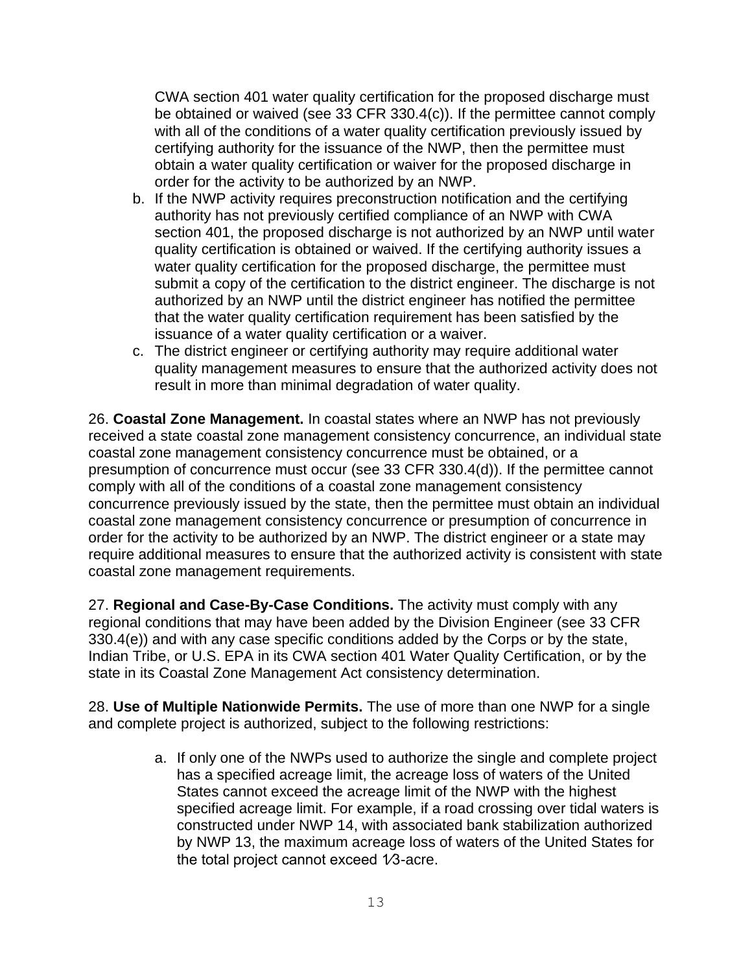CWA section 401 water quality certification for the proposed discharge must be obtained or waived (see 33 CFR 330.4(c)). If the permittee cannot comply with all of the conditions of a water quality certification previously issued by certifying authority for the issuance of the NWP, then the permittee must obtain a water quality certification or waiver for the proposed discharge in order for the activity to be authorized by an NWP.

- b. If the NWP activity requires preconstruction notification and the certifying authority has not previously certified compliance of an NWP with CWA section 401, the proposed discharge is not authorized by an NWP until water quality certification is obtained or waived. If the certifying authority issues a water quality certification for the proposed discharge, the permittee must submit a copy of the certification to the district engineer. The discharge is not authorized by an NWP until the district engineer has notified the permittee that the water quality certification requirement has been satisfied by the issuance of a water quality certification or a waiver.
- c. The district engineer or certifying authority may require additional water quality management measures to ensure that the authorized activity does not result in more than minimal degradation of water quality.

26. **Coastal Zone Management.** In coastal states where an NWP has not previously received a state coastal zone management consistency concurrence, an individual state coastal zone management consistency concurrence must be obtained, or a presumption of concurrence must occur (see 33 CFR 330.4(d)). If the permittee cannot comply with all of the conditions of a coastal zone management consistency concurrence previously issued by the state, then the permittee must obtain an individual coastal zone management consistency concurrence or presumption of concurrence in order for the activity to be authorized by an NWP. The district engineer or a state may require additional measures to ensure that the authorized activity is consistent with state coastal zone management requirements.

27. **Regional and Case-By-Case Conditions.** The activity must comply with any regional conditions that may have been added by the Division Engineer (see 33 CFR 330.4(e)) and with any case specific conditions added by the Corps or by the state, Indian Tribe, or U.S. EPA in its CWA section 401 Water Quality Certification, or by the state in its Coastal Zone Management Act consistency determination.

28. **Use of Multiple Nationwide Permits.** The use of more than one NWP for a single and complete project is authorized, subject to the following restrictions:

> a. If only one of the NWPs used to authorize the single and complete project has a specified acreage limit, the acreage loss of waters of the United States cannot exceed the acreage limit of the NWP with the highest specified acreage limit. For example, if a road crossing over tidal waters is constructed under NWP 14, with associated bank stabilization authorized by NWP 13, the maximum acreage loss of waters of the United States for the total project cannot exceed 1⁄3-acre.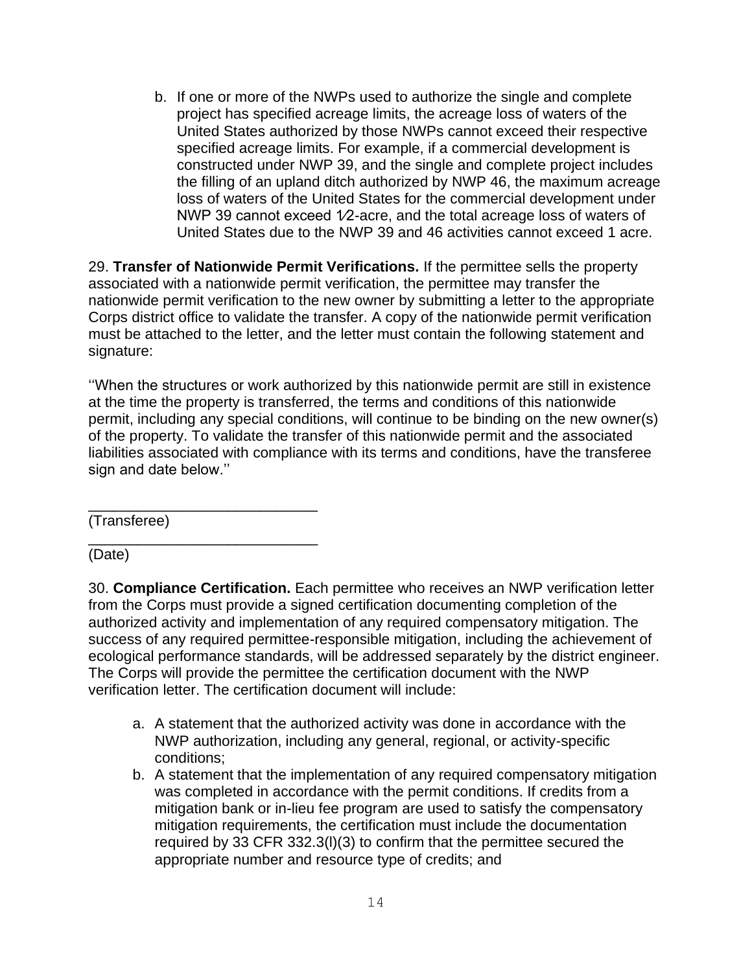b. If one or more of the NWPs used to authorize the single and complete project has specified acreage limits, the acreage loss of waters of the United States authorized by those NWPs cannot exceed their respective specified acreage limits. For example, if a commercial development is constructed under NWP 39, and the single and complete project includes the filling of an upland ditch authorized by NWP 46, the maximum acreage loss of waters of the United States for the commercial development under NWP 39 cannot exceed 1/2-acre, and the total acreage loss of waters of United States due to the NWP 39 and 46 activities cannot exceed 1 acre.

29. **Transfer of Nationwide Permit Verifications.** If the permittee sells the property associated with a nationwide permit verification, the permittee may transfer the nationwide permit verification to the new owner by submitting a letter to the appropriate Corps district office to validate the transfer. A copy of the nationwide permit verification must be attached to the letter, and the letter must contain the following statement and signature:

''When the structures or work authorized by this nationwide permit are still in existence at the time the property is transferred, the terms and conditions of this nationwide permit, including any special conditions, will continue to be binding on the new owner(s) of the property. To validate the transfer of this nationwide permit and the associated liabilities associated with compliance with its terms and conditions, have the transferee sign and date below.''

\_\_\_\_\_\_\_\_\_\_\_\_\_\_\_\_\_\_\_\_\_\_\_\_\_\_\_\_ (Transferee)

\_\_\_\_\_\_\_\_\_\_\_\_\_\_\_\_\_\_\_\_\_\_\_\_\_\_\_\_ (Date)

30. **Compliance Certification.** Each permittee who receives an NWP verification letter from the Corps must provide a signed certification documenting completion of the authorized activity and implementation of any required compensatory mitigation. The success of any required permittee-responsible mitigation, including the achievement of ecological performance standards, will be addressed separately by the district engineer. The Corps will provide the permittee the certification document with the NWP verification letter. The certification document will include:

- a. A statement that the authorized activity was done in accordance with the NWP authorization, including any general, regional, or activity-specific conditions;
- b. A statement that the implementation of any required compensatory mitigation was completed in accordance with the permit conditions. If credits from a mitigation bank or in-lieu fee program are used to satisfy the compensatory mitigation requirements, the certification must include the documentation required by 33 CFR 332.3(l)(3) to confirm that the permittee secured the appropriate number and resource type of credits; and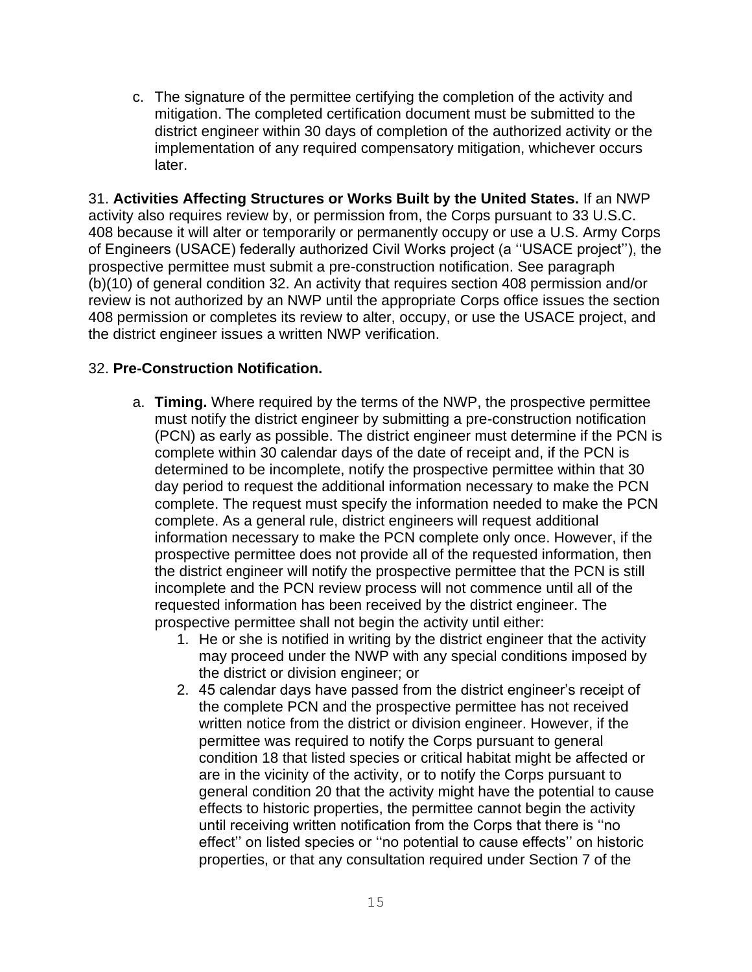c. The signature of the permittee certifying the completion of the activity and mitigation. The completed certification document must be submitted to the district engineer within 30 days of completion of the authorized activity or the implementation of any required compensatory mitigation, whichever occurs later.

31. **Activities Affecting Structures or Works Built by the United States.** If an NWP activity also requires review by, or permission from, the Corps pursuant to 33 U.S.C. 408 because it will alter or temporarily or permanently occupy or use a U.S. Army Corps of Engineers (USACE) federally authorized Civil Works project (a ''USACE project''), the prospective permittee must submit a pre-construction notification. See paragraph (b)(10) of general condition 32. An activity that requires section 408 permission and/or review is not authorized by an NWP until the appropriate Corps office issues the section 408 permission or completes its review to alter, occupy, or use the USACE project, and the district engineer issues a written NWP verification.

#### 32. **Pre-Construction Notification.**

- a. **Timing.** Where required by the terms of the NWP, the prospective permittee must notify the district engineer by submitting a pre-construction notification (PCN) as early as possible. The district engineer must determine if the PCN is complete within 30 calendar days of the date of receipt and, if the PCN is determined to be incomplete, notify the prospective permittee within that 30 day period to request the additional information necessary to make the PCN complete. The request must specify the information needed to make the PCN complete. As a general rule, district engineers will request additional information necessary to make the PCN complete only once. However, if the prospective permittee does not provide all of the requested information, then the district engineer will notify the prospective permittee that the PCN is still incomplete and the PCN review process will not commence until all of the requested information has been received by the district engineer. The prospective permittee shall not begin the activity until either:
	- 1. He or she is notified in writing by the district engineer that the activity may proceed under the NWP with any special conditions imposed by the district or division engineer; or
	- 2. 45 calendar days have passed from the district engineer's receipt of the complete PCN and the prospective permittee has not received written notice from the district or division engineer. However, if the permittee was required to notify the Corps pursuant to general condition 18 that listed species or critical habitat might be affected or are in the vicinity of the activity, or to notify the Corps pursuant to general condition 20 that the activity might have the potential to cause effects to historic properties, the permittee cannot begin the activity until receiving written notification from the Corps that there is ''no effect'' on listed species or ''no potential to cause effects'' on historic properties, or that any consultation required under Section 7 of the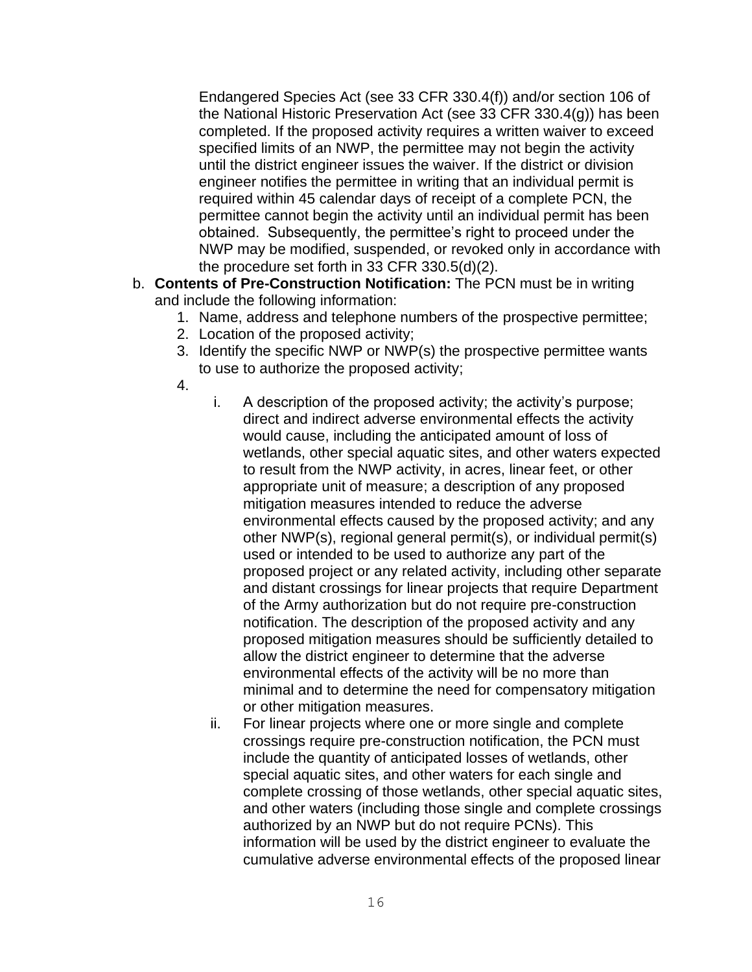Endangered Species Act (see 33 CFR 330.4(f)) and/or section 106 of the National Historic Preservation Act (see 33 CFR 330.4(g)) has been completed. If the proposed activity requires a written waiver to exceed specified limits of an NWP, the permittee may not begin the activity until the district engineer issues the waiver. If the district or division engineer notifies the permittee in writing that an individual permit is required within 45 calendar days of receipt of a complete PCN, the permittee cannot begin the activity until an individual permit has been obtained. Subsequently, the permittee's right to proceed under the NWP may be modified, suspended, or revoked only in accordance with the procedure set forth in 33 CFR 330.5(d)(2).

- b. **Contents of Pre-Construction Notification:** The PCN must be in writing and include the following information:
	- 1. Name, address and telephone numbers of the prospective permittee;
	- 2. Location of the proposed activity;
	- 3. Identify the specific NWP or NWP(s) the prospective permittee wants to use to authorize the proposed activity;
	- 4.
- i. A description of the proposed activity; the activity's purpose; direct and indirect adverse environmental effects the activity would cause, including the anticipated amount of loss of wetlands, other special aquatic sites, and other waters expected to result from the NWP activity, in acres, linear feet, or other appropriate unit of measure; a description of any proposed mitigation measures intended to reduce the adverse environmental effects caused by the proposed activity; and any other NWP(s), regional general permit(s), or individual permit(s) used or intended to be used to authorize any part of the proposed project or any related activity, including other separate and distant crossings for linear projects that require Department of the Army authorization but do not require pre-construction notification. The description of the proposed activity and any proposed mitigation measures should be sufficiently detailed to allow the district engineer to determine that the adverse environmental effects of the activity will be no more than minimal and to determine the need for compensatory mitigation or other mitigation measures.
- ii. For linear projects where one or more single and complete crossings require pre-construction notification, the PCN must include the quantity of anticipated losses of wetlands, other special aquatic sites, and other waters for each single and complete crossing of those wetlands, other special aquatic sites, and other waters (including those single and complete crossings authorized by an NWP but do not require PCNs). This information will be used by the district engineer to evaluate the cumulative adverse environmental effects of the proposed linear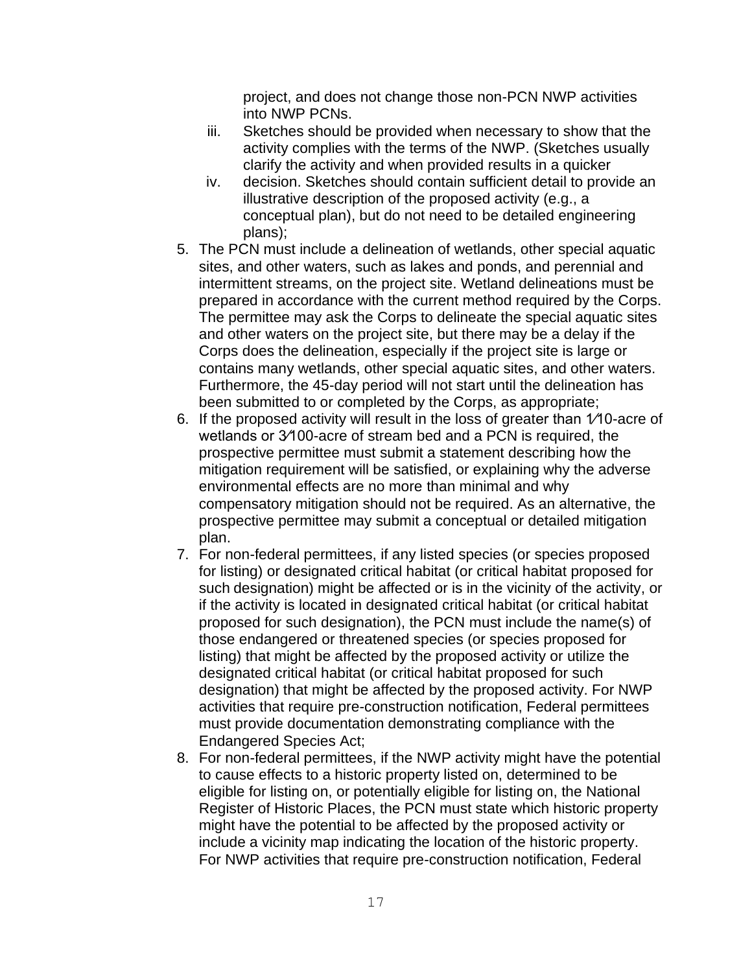project, and does not change those non-PCN NWP activities into NWP PCNs.

- iii. Sketches should be provided when necessary to show that the activity complies with the terms of the NWP. (Sketches usually clarify the activity and when provided results in a quicker
- iv. decision. Sketches should contain sufficient detail to provide an illustrative description of the proposed activity (e.g., a conceptual plan), but do not need to be detailed engineering plans);
- 5. The PCN must include a delineation of wetlands, other special aquatic sites, and other waters, such as lakes and ponds, and perennial and intermittent streams, on the project site. Wetland delineations must be prepared in accordance with the current method required by the Corps. The permittee may ask the Corps to delineate the special aquatic sites and other waters on the project site, but there may be a delay if the Corps does the delineation, especially if the project site is large or contains many wetlands, other special aquatic sites, and other waters. Furthermore, the 45-day period will not start until the delineation has been submitted to or completed by the Corps, as appropriate;
- 6. If the proposed activity will result in the loss of greater than 1⁄10-acre of wetlands or 3⁄100-acre of stream bed and a PCN is required, the prospective permittee must submit a statement describing how the mitigation requirement will be satisfied, or explaining why the adverse environmental effects are no more than minimal and why compensatory mitigation should not be required. As an alternative, the prospective permittee may submit a conceptual or detailed mitigation plan.
- 7. For non-federal permittees, if any listed species (or species proposed for listing) or designated critical habitat (or critical habitat proposed for such designation) might be affected or is in the vicinity of the activity, or if the activity is located in designated critical habitat (or critical habitat proposed for such designation), the PCN must include the name(s) of those endangered or threatened species (or species proposed for listing) that might be affected by the proposed activity or utilize the designated critical habitat (or critical habitat proposed for such designation) that might be affected by the proposed activity. For NWP activities that require pre-construction notification, Federal permittees must provide documentation demonstrating compliance with the Endangered Species Act;
- 8. For non-federal permittees, if the NWP activity might have the potential to cause effects to a historic property listed on, determined to be eligible for listing on, or potentially eligible for listing on, the National Register of Historic Places, the PCN must state which historic property might have the potential to be affected by the proposed activity or include a vicinity map indicating the location of the historic property. For NWP activities that require pre-construction notification, Federal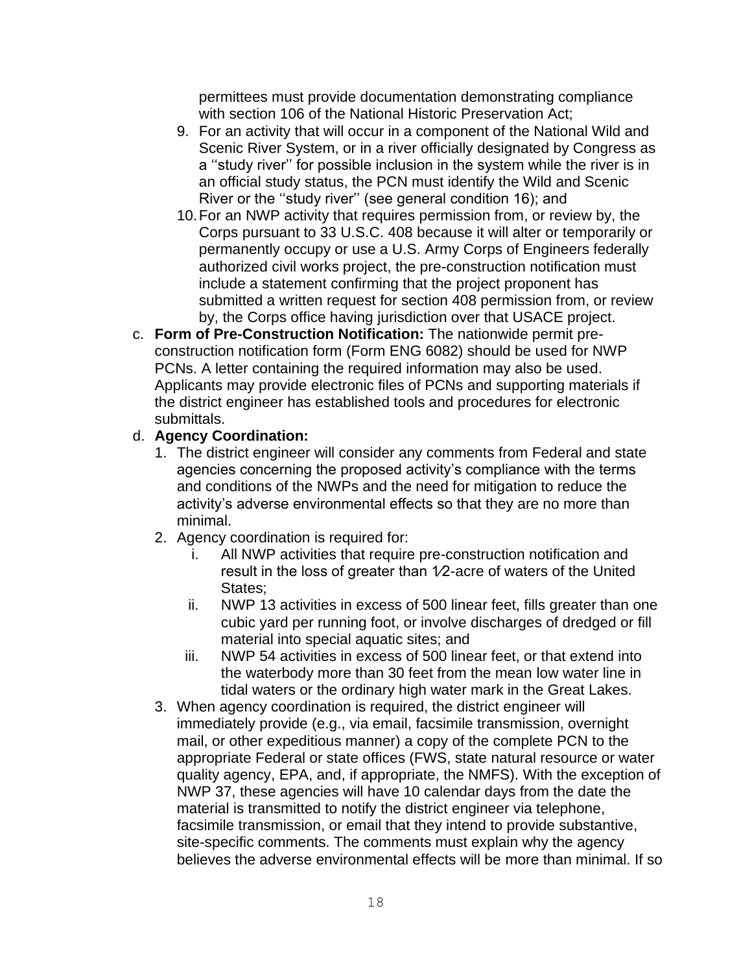permittees must provide documentation demonstrating compliance with section 106 of the National Historic Preservation Act;

- 9. For an activity that will occur in a component of the National Wild and Scenic River System, or in a river officially designated by Congress as a ''study river'' for possible inclusion in the system while the river is in an official study status, the PCN must identify the Wild and Scenic River or the ''study river'' (see general condition 16); and
- 10.For an NWP activity that requires permission from, or review by, the Corps pursuant to 33 U.S.C. 408 because it will alter or temporarily or permanently occupy or use a U.S. Army Corps of Engineers federally authorized civil works project, the pre-construction notification must include a statement confirming that the project proponent has submitted a written request for section 408 permission from, or review by, the Corps office having jurisdiction over that USACE project.
- c. **Form of Pre-Construction Notification:** The nationwide permit preconstruction notification form (Form ENG 6082) should be used for NWP PCNs. A letter containing the required information may also be used. Applicants may provide electronic files of PCNs and supporting materials if the district engineer has established tools and procedures for electronic submittals.

## d. **Agency Coordination:**

- 1. The district engineer will consider any comments from Federal and state agencies concerning the proposed activity's compliance with the terms and conditions of the NWPs and the need for mitigation to reduce the activity's adverse environmental effects so that they are no more than minimal.
- 2. Agency coordination is required for:
	- i. All NWP activities that require pre-construction notification and result in the loss of greater than 1⁄2-acre of waters of the United States;
	- ii. NWP 13 activities in excess of 500 linear feet, fills greater than one cubic yard per running foot, or involve discharges of dredged or fill material into special aquatic sites; and
	- iii. NWP 54 activities in excess of 500 linear feet, or that extend into the waterbody more than 30 feet from the mean low water line in tidal waters or the ordinary high water mark in the Great Lakes.
- 3. When agency coordination is required, the district engineer will immediately provide (e.g., via email, facsimile transmission, overnight mail, or other expeditious manner) a copy of the complete PCN to the appropriate Federal or state offices (FWS, state natural resource or water quality agency, EPA, and, if appropriate, the NMFS). With the exception of NWP 37, these agencies will have 10 calendar days from the date the material is transmitted to notify the district engineer via telephone, facsimile transmission, or email that they intend to provide substantive, site-specific comments. The comments must explain why the agency believes the adverse environmental effects will be more than minimal. If so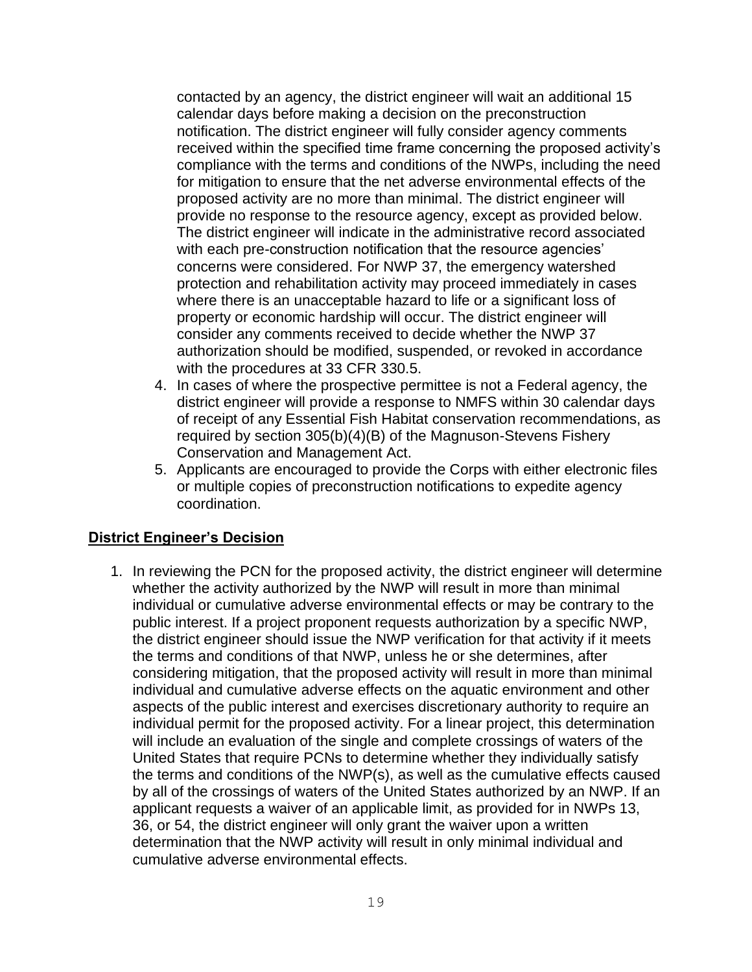contacted by an agency, the district engineer will wait an additional 15 calendar days before making a decision on the preconstruction notification. The district engineer will fully consider agency comments received within the specified time frame concerning the proposed activity's compliance with the terms and conditions of the NWPs, including the need for mitigation to ensure that the net adverse environmental effects of the proposed activity are no more than minimal. The district engineer will provide no response to the resource agency, except as provided below. The district engineer will indicate in the administrative record associated with each pre-construction notification that the resource agencies' concerns were considered. For NWP 37, the emergency watershed protection and rehabilitation activity may proceed immediately in cases where there is an unacceptable hazard to life or a significant loss of property or economic hardship will occur. The district engineer will consider any comments received to decide whether the NWP 37 authorization should be modified, suspended, or revoked in accordance with the procedures at 33 CFR 330.5.

- 4. In cases of where the prospective permittee is not a Federal agency, the district engineer will provide a response to NMFS within 30 calendar days of receipt of any Essential Fish Habitat conservation recommendations, as required by section 305(b)(4)(B) of the Magnuson-Stevens Fishery Conservation and Management Act.
- 5. Applicants are encouraged to provide the Corps with either electronic files or multiple copies of preconstruction notifications to expedite agency coordination.

#### **District Engineer's Decision**

1. In reviewing the PCN for the proposed activity, the district engineer will determine whether the activity authorized by the NWP will result in more than minimal individual or cumulative adverse environmental effects or may be contrary to the public interest. If a project proponent requests authorization by a specific NWP, the district engineer should issue the NWP verification for that activity if it meets the terms and conditions of that NWP, unless he or she determines, after considering mitigation, that the proposed activity will result in more than minimal individual and cumulative adverse effects on the aquatic environment and other aspects of the public interest and exercises discretionary authority to require an individual permit for the proposed activity. For a linear project, this determination will include an evaluation of the single and complete crossings of waters of the United States that require PCNs to determine whether they individually satisfy the terms and conditions of the NWP(s), as well as the cumulative effects caused by all of the crossings of waters of the United States authorized by an NWP. If an applicant requests a waiver of an applicable limit, as provided for in NWPs 13, 36, or 54, the district engineer will only grant the waiver upon a written determination that the NWP activity will result in only minimal individual and cumulative adverse environmental effects.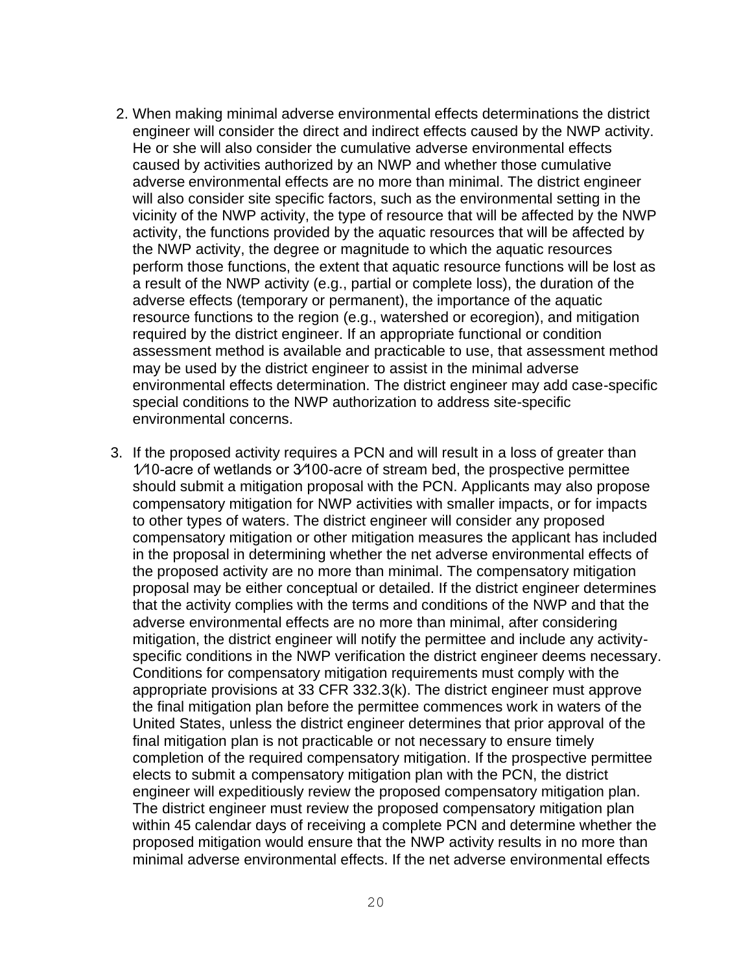- 2. When making minimal adverse environmental effects determinations the district engineer will consider the direct and indirect effects caused by the NWP activity. He or she will also consider the cumulative adverse environmental effects caused by activities authorized by an NWP and whether those cumulative adverse environmental effects are no more than minimal. The district engineer will also consider site specific factors, such as the environmental setting in the vicinity of the NWP activity, the type of resource that will be affected by the NWP activity, the functions provided by the aquatic resources that will be affected by the NWP activity, the degree or magnitude to which the aquatic resources perform those functions, the extent that aquatic resource functions will be lost as a result of the NWP activity (e.g., partial or complete loss), the duration of the adverse effects (temporary or permanent), the importance of the aquatic resource functions to the region (e.g., watershed or ecoregion), and mitigation required by the district engineer. If an appropriate functional or condition assessment method is available and practicable to use, that assessment method may be used by the district engineer to assist in the minimal adverse environmental effects determination. The district engineer may add case-specific special conditions to the NWP authorization to address site-specific environmental concerns.
- 3. If the proposed activity requires a PCN and will result in a loss of greater than 1⁄10-acre of wetlands or 3⁄100-acre of stream bed, the prospective permittee should submit a mitigation proposal with the PCN. Applicants may also propose compensatory mitigation for NWP activities with smaller impacts, or for impacts to other types of waters. The district engineer will consider any proposed compensatory mitigation or other mitigation measures the applicant has included in the proposal in determining whether the net adverse environmental effects of the proposed activity are no more than minimal. The compensatory mitigation proposal may be either conceptual or detailed. If the district engineer determines that the activity complies with the terms and conditions of the NWP and that the adverse environmental effects are no more than minimal, after considering mitigation, the district engineer will notify the permittee and include any activityspecific conditions in the NWP verification the district engineer deems necessary. Conditions for compensatory mitigation requirements must comply with the appropriate provisions at 33 CFR 332.3(k). The district engineer must approve the final mitigation plan before the permittee commences work in waters of the United States, unless the district engineer determines that prior approval of the final mitigation plan is not practicable or not necessary to ensure timely completion of the required compensatory mitigation. If the prospective permittee elects to submit a compensatory mitigation plan with the PCN, the district engineer will expeditiously review the proposed compensatory mitigation plan. The district engineer must review the proposed compensatory mitigation plan within 45 calendar days of receiving a complete PCN and determine whether the proposed mitigation would ensure that the NWP activity results in no more than minimal adverse environmental effects. If the net adverse environmental effects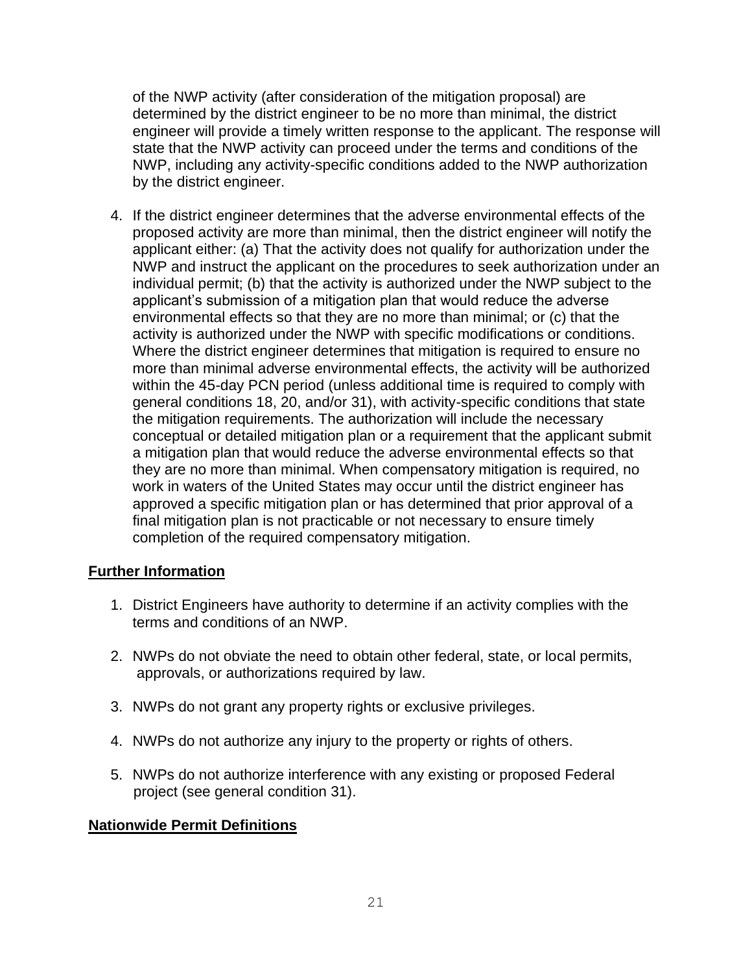of the NWP activity (after consideration of the mitigation proposal) are determined by the district engineer to be no more than minimal, the district engineer will provide a timely written response to the applicant. The response will state that the NWP activity can proceed under the terms and conditions of the NWP, including any activity-specific conditions added to the NWP authorization by the district engineer.

4. If the district engineer determines that the adverse environmental effects of the proposed activity are more than minimal, then the district engineer will notify the applicant either: (a) That the activity does not qualify for authorization under the NWP and instruct the applicant on the procedures to seek authorization under an individual permit; (b) that the activity is authorized under the NWP subject to the applicant's submission of a mitigation plan that would reduce the adverse environmental effects so that they are no more than minimal; or (c) that the activity is authorized under the NWP with specific modifications or conditions. Where the district engineer determines that mitigation is required to ensure no more than minimal adverse environmental effects, the activity will be authorized within the 45-day PCN period (unless additional time is required to comply with general conditions 18, 20, and/or 31), with activity-specific conditions that state the mitigation requirements. The authorization will include the necessary conceptual or detailed mitigation plan or a requirement that the applicant submit a mitigation plan that would reduce the adverse environmental effects so that they are no more than minimal. When compensatory mitigation is required, no work in waters of the United States may occur until the district engineer has approved a specific mitigation plan or has determined that prior approval of a final mitigation plan is not practicable or not necessary to ensure timely completion of the required compensatory mitigation.

#### **Further Information**

- 1. District Engineers have authority to determine if an activity complies with the terms and conditions of an NWP.
- 2. NWPs do not obviate the need to obtain other federal, state, or local permits, approvals, or authorizations required by law.
- 3. NWPs do not grant any property rights or exclusive privileges.
- 4. NWPs do not authorize any injury to the property or rights of others.
- 5. NWPs do not authorize interference with any existing or proposed Federal project (see general condition 31).

## **Nationwide Permit Definitions**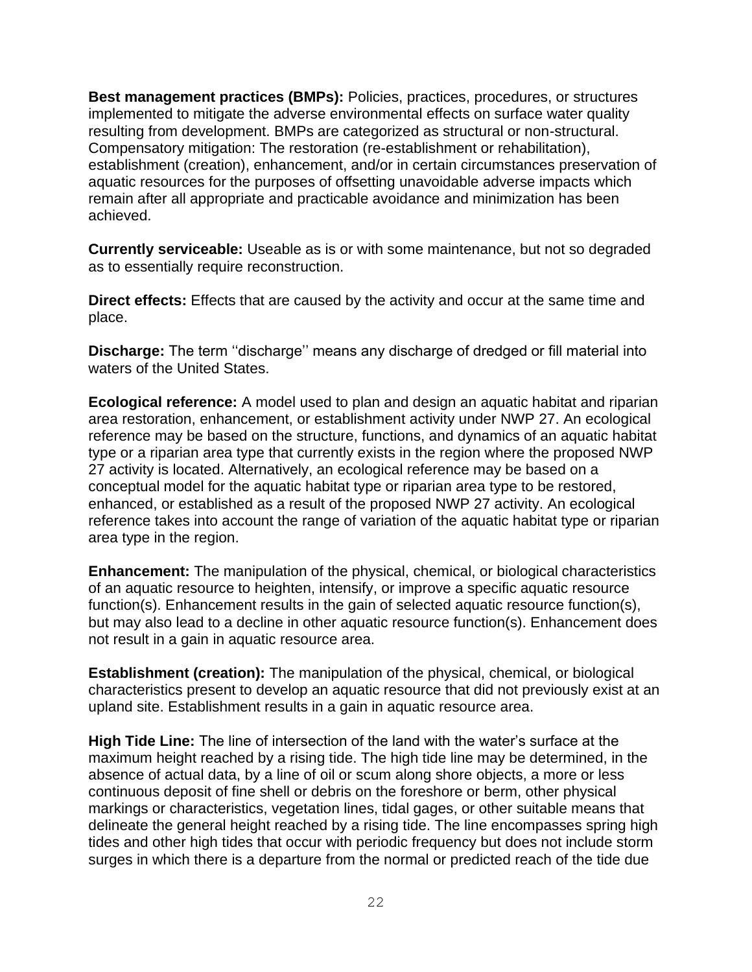**Best management practices (BMPs):** Policies, practices, procedures, or structures implemented to mitigate the adverse environmental effects on surface water quality resulting from development. BMPs are categorized as structural or non-structural. Compensatory mitigation: The restoration (re-establishment or rehabilitation), establishment (creation), enhancement, and/or in certain circumstances preservation of aquatic resources for the purposes of offsetting unavoidable adverse impacts which remain after all appropriate and practicable avoidance and minimization has been achieved.

**Currently serviceable:** Useable as is or with some maintenance, but not so degraded as to essentially require reconstruction.

**Direct effects:** Effects that are caused by the activity and occur at the same time and place.

**Discharge:** The term ''discharge'' means any discharge of dredged or fill material into waters of the United States.

**Ecological reference:** A model used to plan and design an aquatic habitat and riparian area restoration, enhancement, or establishment activity under NWP 27. An ecological reference may be based on the structure, functions, and dynamics of an aquatic habitat type or a riparian area type that currently exists in the region where the proposed NWP 27 activity is located. Alternatively, an ecological reference may be based on a conceptual model for the aquatic habitat type or riparian area type to be restored, enhanced, or established as a result of the proposed NWP 27 activity. An ecological reference takes into account the range of variation of the aquatic habitat type or riparian area type in the region.

**Enhancement:** The manipulation of the physical, chemical, or biological characteristics of an aquatic resource to heighten, intensify, or improve a specific aquatic resource function(s). Enhancement results in the gain of selected aquatic resource function(s), but may also lead to a decline in other aquatic resource function(s). Enhancement does not result in a gain in aquatic resource area.

**Establishment (creation):** The manipulation of the physical, chemical, or biological characteristics present to develop an aquatic resource that did not previously exist at an upland site. Establishment results in a gain in aquatic resource area.

**High Tide Line:** The line of intersection of the land with the water's surface at the maximum height reached by a rising tide. The high tide line may be determined, in the absence of actual data, by a line of oil or scum along shore objects, a more or less continuous deposit of fine shell or debris on the foreshore or berm, other physical markings or characteristics, vegetation lines, tidal gages, or other suitable means that delineate the general height reached by a rising tide. The line encompasses spring high tides and other high tides that occur with periodic frequency but does not include storm surges in which there is a departure from the normal or predicted reach of the tide due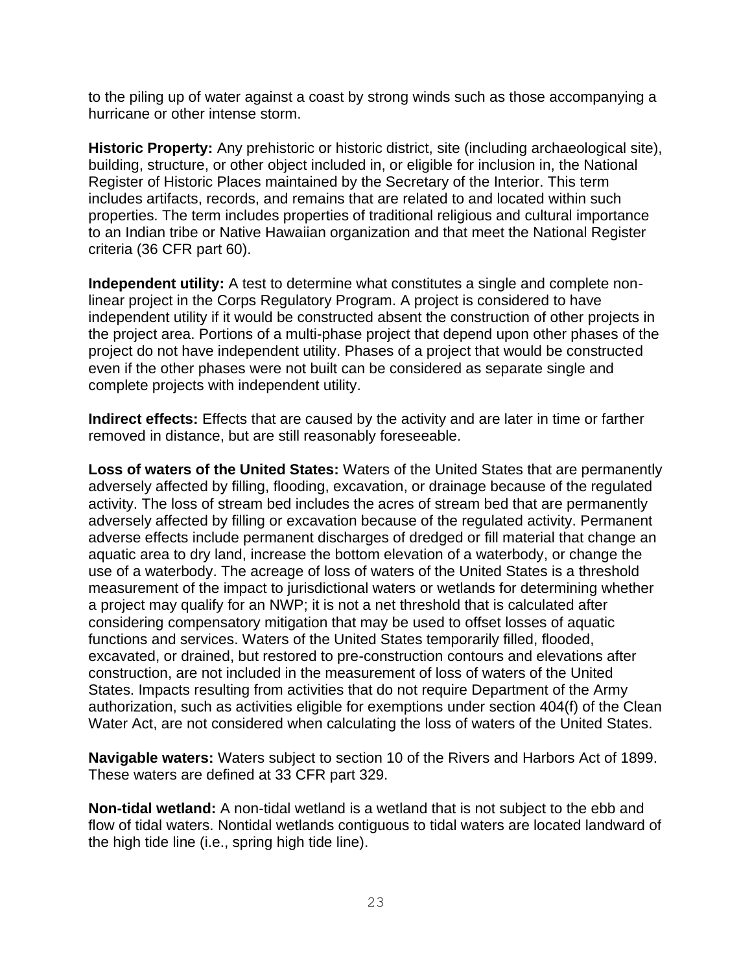to the piling up of water against a coast by strong winds such as those accompanying a hurricane or other intense storm.

**Historic Property:** Any prehistoric or historic district, site (including archaeological site), building, structure, or other object included in, or eligible for inclusion in, the National Register of Historic Places maintained by the Secretary of the Interior. This term includes artifacts, records, and remains that are related to and located within such properties. The term includes properties of traditional religious and cultural importance to an Indian tribe or Native Hawaiian organization and that meet the National Register criteria (36 CFR part 60).

**Independent utility:** A test to determine what constitutes a single and complete nonlinear project in the Corps Regulatory Program. A project is considered to have independent utility if it would be constructed absent the construction of other projects in the project area. Portions of a multi-phase project that depend upon other phases of the project do not have independent utility. Phases of a project that would be constructed even if the other phases were not built can be considered as separate single and complete projects with independent utility.

**Indirect effects:** Effects that are caused by the activity and are later in time or farther removed in distance, but are still reasonably foreseeable.

**Loss of waters of the United States:** Waters of the United States that are permanently adversely affected by filling, flooding, excavation, or drainage because of the regulated activity. The loss of stream bed includes the acres of stream bed that are permanently adversely affected by filling or excavation because of the regulated activity. Permanent adverse effects include permanent discharges of dredged or fill material that change an aquatic area to dry land, increase the bottom elevation of a waterbody, or change the use of a waterbody. The acreage of loss of waters of the United States is a threshold measurement of the impact to jurisdictional waters or wetlands for determining whether a project may qualify for an NWP; it is not a net threshold that is calculated after considering compensatory mitigation that may be used to offset losses of aquatic functions and services. Waters of the United States temporarily filled, flooded, excavated, or drained, but restored to pre-construction contours and elevations after construction, are not included in the measurement of loss of waters of the United States. Impacts resulting from activities that do not require Department of the Army authorization, such as activities eligible for exemptions under section 404(f) of the Clean Water Act, are not considered when calculating the loss of waters of the United States.

**Navigable waters:** Waters subject to section 10 of the Rivers and Harbors Act of 1899. These waters are defined at 33 CFR part 329.

**Non-tidal wetland:** A non-tidal wetland is a wetland that is not subject to the ebb and flow of tidal waters. Nontidal wetlands contiguous to tidal waters are located landward of the high tide line (i.e., spring high tide line).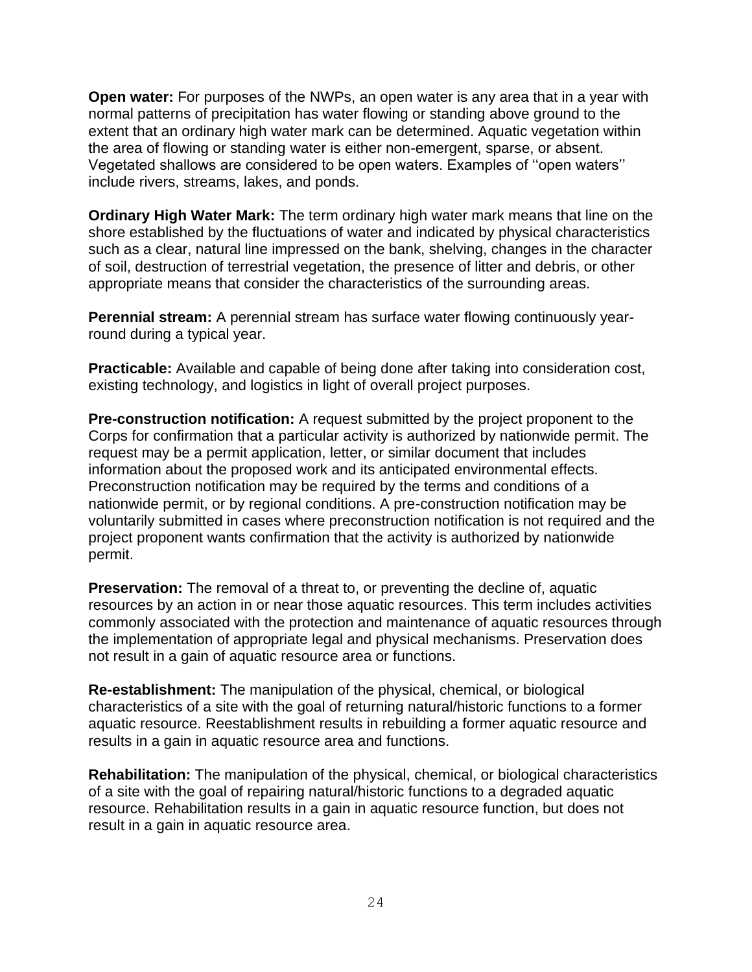**Open water:** For purposes of the NWPs, an open water is any area that in a year with normal patterns of precipitation has water flowing or standing above ground to the extent that an ordinary high water mark can be determined. Aquatic vegetation within the area of flowing or standing water is either non-emergent, sparse, or absent. Vegetated shallows are considered to be open waters. Examples of ''open waters'' include rivers, streams, lakes, and ponds.

**Ordinary High Water Mark:** The term ordinary high water mark means that line on the shore established by the fluctuations of water and indicated by physical characteristics such as a clear, natural line impressed on the bank, shelving, changes in the character of soil, destruction of terrestrial vegetation, the presence of litter and debris, or other appropriate means that consider the characteristics of the surrounding areas.

**Perennial stream:** A perennial stream has surface water flowing continuously yearround during a typical year.

**Practicable:** Available and capable of being done after taking into consideration cost, existing technology, and logistics in light of overall project purposes.

**Pre-construction notification:** A request submitted by the project proponent to the Corps for confirmation that a particular activity is authorized by nationwide permit. The request may be a permit application, letter, or similar document that includes information about the proposed work and its anticipated environmental effects. Preconstruction notification may be required by the terms and conditions of a nationwide permit, or by regional conditions. A pre-construction notification may be voluntarily submitted in cases where preconstruction notification is not required and the project proponent wants confirmation that the activity is authorized by nationwide permit.

**Preservation:** The removal of a threat to, or preventing the decline of, aquatic resources by an action in or near those aquatic resources. This term includes activities commonly associated with the protection and maintenance of aquatic resources through the implementation of appropriate legal and physical mechanisms. Preservation does not result in a gain of aquatic resource area or functions.

**Re-establishment:** The manipulation of the physical, chemical, or biological characteristics of a site with the goal of returning natural/historic functions to a former aquatic resource. Reestablishment results in rebuilding a former aquatic resource and results in a gain in aquatic resource area and functions.

**Rehabilitation:** The manipulation of the physical, chemical, or biological characteristics of a site with the goal of repairing natural/historic functions to a degraded aquatic resource. Rehabilitation results in a gain in aquatic resource function, but does not result in a gain in aquatic resource area.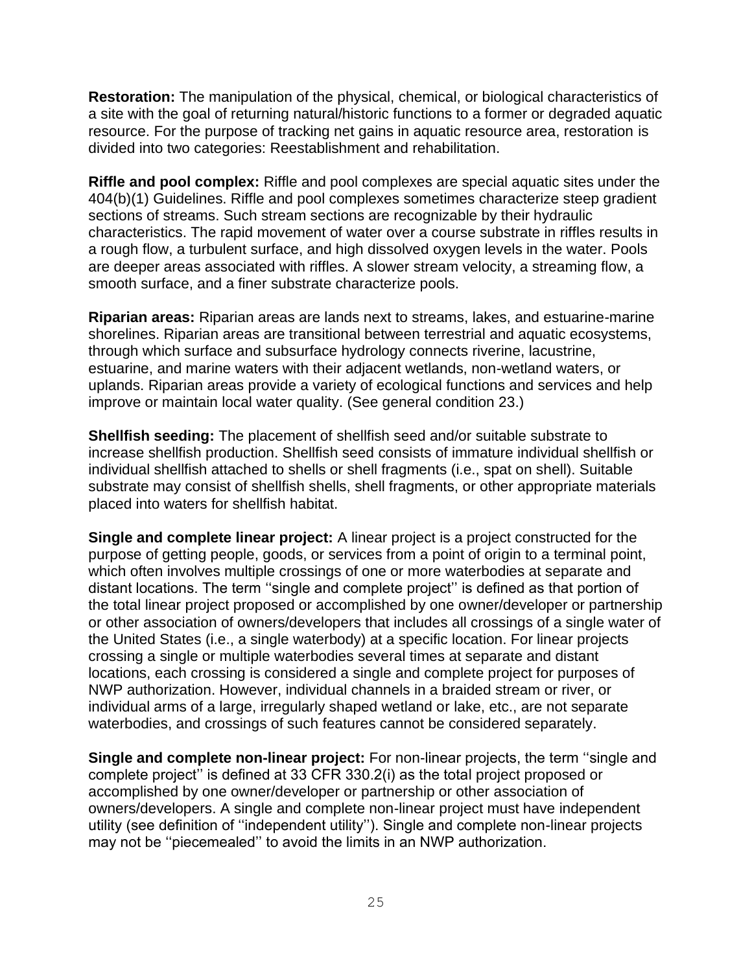**Restoration:** The manipulation of the physical, chemical, or biological characteristics of a site with the goal of returning natural/historic functions to a former or degraded aquatic resource. For the purpose of tracking net gains in aquatic resource area, restoration is divided into two categories: Reestablishment and rehabilitation.

**Riffle and pool complex:** Riffle and pool complexes are special aquatic sites under the 404(b)(1) Guidelines. Riffle and pool complexes sometimes characterize steep gradient sections of streams. Such stream sections are recognizable by their hydraulic characteristics. The rapid movement of water over a course substrate in riffles results in a rough flow, a turbulent surface, and high dissolved oxygen levels in the water. Pools are deeper areas associated with riffles. A slower stream velocity, a streaming flow, a smooth surface, and a finer substrate characterize pools.

**Riparian areas:** Riparian areas are lands next to streams, lakes, and estuarine-marine shorelines. Riparian areas are transitional between terrestrial and aquatic ecosystems, through which surface and subsurface hydrology connects riverine, lacustrine, estuarine, and marine waters with their adjacent wetlands, non-wetland waters, or uplands. Riparian areas provide a variety of ecological functions and services and help improve or maintain local water quality. (See general condition 23.)

**Shellfish seeding:** The placement of shellfish seed and/or suitable substrate to increase shellfish production. Shellfish seed consists of immature individual shellfish or individual shellfish attached to shells or shell fragments (i.e., spat on shell). Suitable substrate may consist of shellfish shells, shell fragments, or other appropriate materials placed into waters for shellfish habitat.

**Single and complete linear project:** A linear project is a project constructed for the purpose of getting people, goods, or services from a point of origin to a terminal point, which often involves multiple crossings of one or more waterbodies at separate and distant locations. The term ''single and complete project'' is defined as that portion of the total linear project proposed or accomplished by one owner/developer or partnership or other association of owners/developers that includes all crossings of a single water of the United States (i.e., a single waterbody) at a specific location. For linear projects crossing a single or multiple waterbodies several times at separate and distant locations, each crossing is considered a single and complete project for purposes of NWP authorization. However, individual channels in a braided stream or river, or individual arms of a large, irregularly shaped wetland or lake, etc., are not separate waterbodies, and crossings of such features cannot be considered separately.

**Single and complete non-linear project:** For non-linear projects, the term ''single and complete project'' is defined at 33 CFR 330.2(i) as the total project proposed or accomplished by one owner/developer or partnership or other association of owners/developers. A single and complete non-linear project must have independent utility (see definition of ''independent utility''). Single and complete non-linear projects may not be ''piecemealed'' to avoid the limits in an NWP authorization.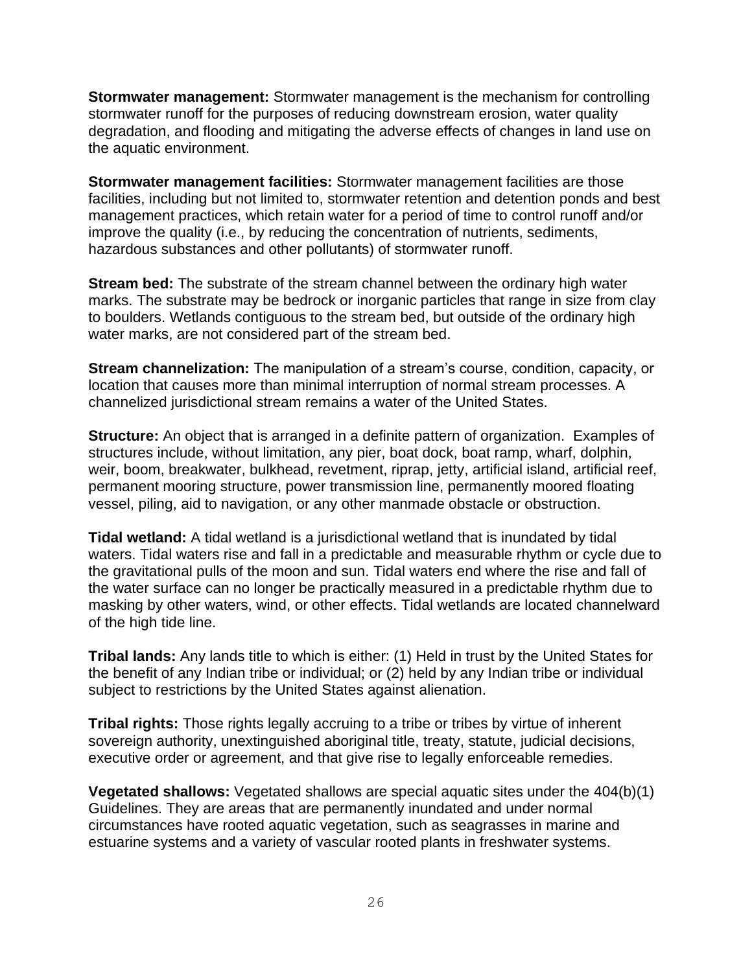**Stormwater management:** Stormwater management is the mechanism for controlling stormwater runoff for the purposes of reducing downstream erosion, water quality degradation, and flooding and mitigating the adverse effects of changes in land use on the aquatic environment.

**Stormwater management facilities:** Stormwater management facilities are those facilities, including but not limited to, stormwater retention and detention ponds and best management practices, which retain water for a period of time to control runoff and/or improve the quality (i.e., by reducing the concentration of nutrients, sediments, hazardous substances and other pollutants) of stormwater runoff.

**Stream bed:** The substrate of the stream channel between the ordinary high water marks. The substrate may be bedrock or inorganic particles that range in size from clay to boulders. Wetlands contiguous to the stream bed, but outside of the ordinary high water marks, are not considered part of the stream bed.

**Stream channelization:** The manipulation of a stream's course, condition, capacity, or location that causes more than minimal interruption of normal stream processes. A channelized jurisdictional stream remains a water of the United States.

**Structure:** An object that is arranged in a definite pattern of organization. Examples of structures include, without limitation, any pier, boat dock, boat ramp, wharf, dolphin, weir, boom, breakwater, bulkhead, revetment, riprap, jetty, artificial island, artificial reef, permanent mooring structure, power transmission line, permanently moored floating vessel, piling, aid to navigation, or any other manmade obstacle or obstruction.

**Tidal wetland:** A tidal wetland is a jurisdictional wetland that is inundated by tidal waters. Tidal waters rise and fall in a predictable and measurable rhythm or cycle due to the gravitational pulls of the moon and sun. Tidal waters end where the rise and fall of the water surface can no longer be practically measured in a predictable rhythm due to masking by other waters, wind, or other effects. Tidal wetlands are located channelward of the high tide line.

**Tribal lands:** Any lands title to which is either: (1) Held in trust by the United States for the benefit of any Indian tribe or individual; or (2) held by any Indian tribe or individual subject to restrictions by the United States against alienation.

**Tribal rights:** Those rights legally accruing to a tribe or tribes by virtue of inherent sovereign authority, unextinguished aboriginal title, treaty, statute, judicial decisions, executive order or agreement, and that give rise to legally enforceable remedies.

**Vegetated shallows:** Vegetated shallows are special aquatic sites under the 404(b)(1) Guidelines. They are areas that are permanently inundated and under normal circumstances have rooted aquatic vegetation, such as seagrasses in marine and estuarine systems and a variety of vascular rooted plants in freshwater systems.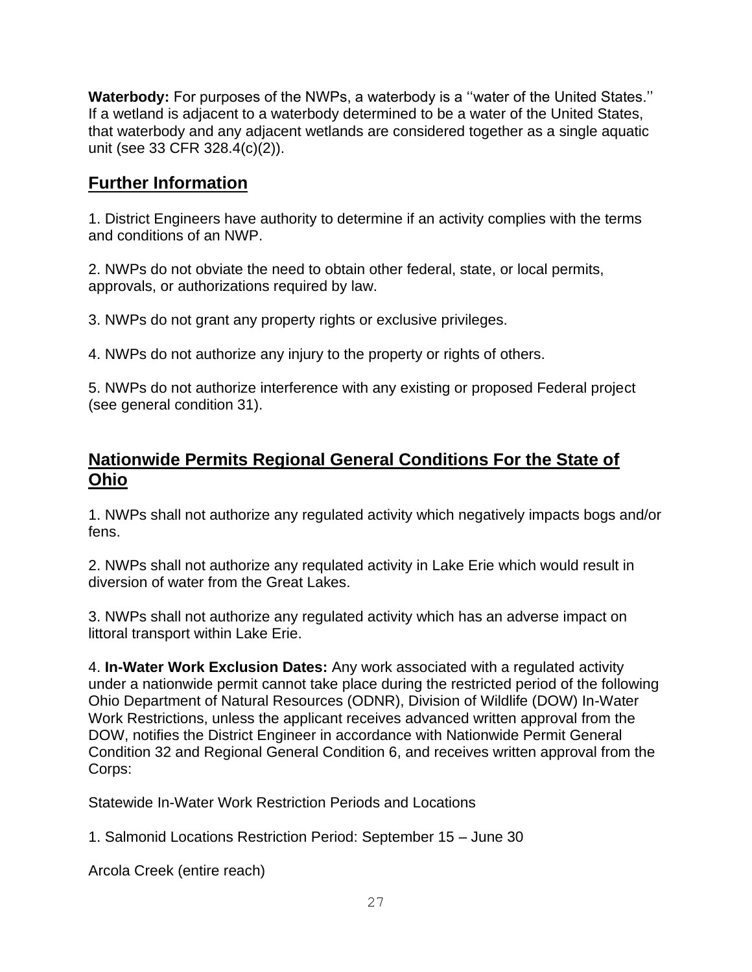**Waterbody:** For purposes of the NWPs, a waterbody is a ''water of the United States.'' If a wetland is adjacent to a waterbody determined to be a water of the United States, that waterbody and any adjacent wetlands are considered together as a single aquatic unit (see 33 CFR 328.4(c)(2)).

# **Further Information**

1. District Engineers have authority to determine if an activity complies with the terms and conditions of an NWP.

2. NWPs do not obviate the need to obtain other federal, state, or local permits, approvals, or authorizations required by law.

3. NWPs do not grant any property rights or exclusive privileges.

4. NWPs do not authorize any injury to the property or rights of others.

5. NWPs do not authorize interference with any existing or proposed Federal project (see general condition 31).

# **Nationwide Permits Regional General Conditions For the State of Ohio**

1. NWPs shall not authorize any regulated activity which negatively impacts bogs and/or fens.

2. NWPs shall not authorize any requlated activity in Lake Erie which would result in diversion of water from the Great Lakes.

3. NWPs shall not authorize any regulated activity which has an adverse impact on littoral transport within Lake Erie.

4. **In-Water Work Exclusion Dates:** Any work associated with a regulated activity under a nationwide permit cannot take place during the restricted period of the following Ohio Department of Natural Resources (ODNR), Division of Wildlife (DOW) In-Water Work Restrictions, unless the applicant receives advanced written approval from the DOW, notifies the District Engineer in accordance with Nationwide Permit General Condition 32 and Regional General Condition 6, and receives written approval from the Corps:

Statewide In-Water Work Restriction Periods and Locations

1. Salmonid Locations Restriction Period: September 15 – June 30

Arcola Creek (entire reach)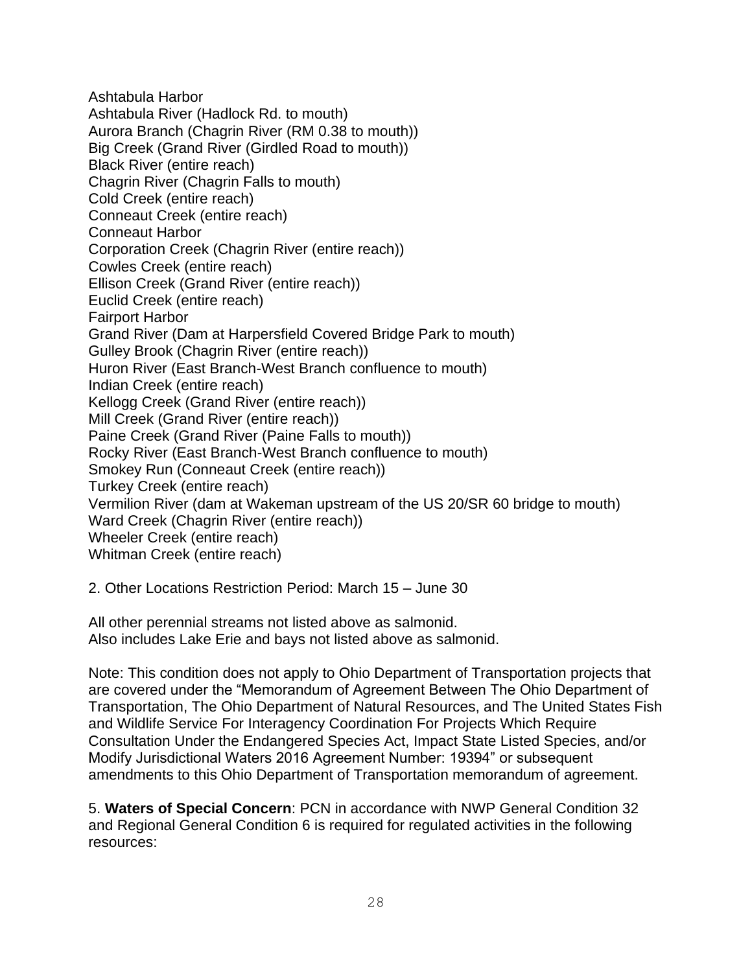Ashtabula Harbor Ashtabula River (Hadlock Rd. to mouth) Aurora Branch (Chagrin River (RM 0.38 to mouth)) Big Creek (Grand River (Girdled Road to mouth)) Black River (entire reach) Chagrin River (Chagrin Falls to mouth) Cold Creek (entire reach) Conneaut Creek (entire reach) Conneaut Harbor Corporation Creek (Chagrin River (entire reach)) Cowles Creek (entire reach) Ellison Creek (Grand River (entire reach)) Euclid Creek (entire reach) Fairport Harbor Grand River (Dam at Harpersfield Covered Bridge Park to mouth) Gulley Brook (Chagrin River (entire reach)) Huron River (East Branch-West Branch confluence to mouth) Indian Creek (entire reach) Kellogg Creek (Grand River (entire reach)) Mill Creek (Grand River (entire reach)) Paine Creek (Grand River (Paine Falls to mouth)) Rocky River (East Branch-West Branch confluence to mouth) Smokey Run (Conneaut Creek (entire reach)) Turkey Creek (entire reach) Vermilion River (dam at Wakeman upstream of the US 20/SR 60 bridge to mouth) Ward Creek (Chagrin River (entire reach)) Wheeler Creek (entire reach) Whitman Creek (entire reach)

2. Other Locations Restriction Period: March 15 – June 30

All other perennial streams not listed above as salmonid. Also includes Lake Erie and bays not listed above as salmonid.

Note: This condition does not apply to Ohio Department of Transportation projects that are covered under the "Memorandum of Agreement Between The Ohio Department of Transportation, The Ohio Department of Natural Resources, and The United States Fish and Wildlife Service For Interagency Coordination For Projects Which Require Consultation Under the Endangered Species Act, Impact State Listed Species, and/or Modify Jurisdictional Waters 2016 Agreement Number: 19394" or subsequent amendments to this Ohio Department of Transportation memorandum of agreement.

5. **Waters of Special Concern**: PCN in accordance with NWP General Condition 32 and Regional General Condition 6 is required for regulated activities in the following resources: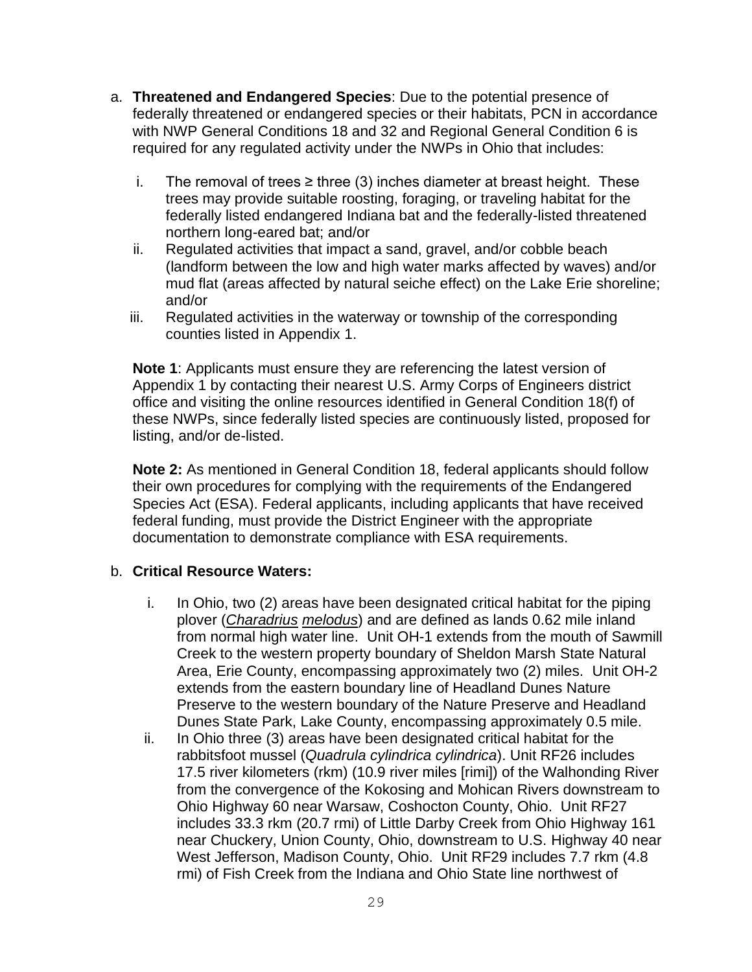- a. **Threatened and Endangered Species**: Due to the potential presence of federally threatened or endangered species or their habitats, PCN in accordance with NWP General Conditions 18 and 32 and Regional General Condition 6 is required for any regulated activity under the NWPs in Ohio that includes:
	- i. The removal of trees  $\geq$  three (3) inches diameter at breast height. These trees may provide suitable roosting, foraging, or traveling habitat for the federally listed endangered Indiana bat and the federally-listed threatened northern long-eared bat; and/or
	- ii. Regulated activities that impact a sand, gravel, and/or cobble beach (landform between the low and high water marks affected by waves) and/or mud flat (areas affected by natural seiche effect) on the Lake Erie shoreline; and/or
	- iii. Regulated activities in the waterway or township of the corresponding counties listed in Appendix 1.

**Note 1**: Applicants must ensure they are referencing the latest version of Appendix 1 by contacting their nearest U.S. Army Corps of Engineers district office and visiting the online resources identified in General Condition 18(f) of these NWPs, since federally listed species are continuously listed, proposed for listing, and/or de-listed.

**Note 2:** As mentioned in General Condition 18, federal applicants should follow their own procedures for complying with the requirements of the Endangered Species Act (ESA). Federal applicants, including applicants that have received federal funding, must provide the District Engineer with the appropriate documentation to demonstrate compliance with ESA requirements.

#### b. **Critical Resource Waters:**

- i. In Ohio, two (2) areas have been designated critical habitat for the piping plover (*Charadrius melodus*) and are defined as lands 0.62 mile inland from normal high water line. Unit OH-1 extends from the mouth of Sawmill Creek to the western property boundary of Sheldon Marsh State Natural Area, Erie County, encompassing approximately two (2) miles. Unit OH-2 extends from the eastern boundary line of Headland Dunes Nature Preserve to the western boundary of the Nature Preserve and Headland Dunes State Park, Lake County, encompassing approximately 0.5 mile.
- ii. In Ohio three (3) areas have been designated critical habitat for the rabbitsfoot mussel (*Quadrula cylindrica cylindrica*). Unit RF26 includes 17.5 river kilometers (rkm) (10.9 river miles [rimi]) of the Walhonding River from the convergence of the Kokosing and Mohican Rivers downstream to Ohio Highway 60 near Warsaw, Coshocton County, Ohio. Unit RF27 includes 33.3 rkm (20.7 rmi) of Little Darby Creek from Ohio Highway 161 near Chuckery, Union County, Ohio, downstream to U.S. Highway 40 near West Jefferson, Madison County, Ohio. Unit RF29 includes 7.7 rkm (4.8 rmi) of Fish Creek from the Indiana and Ohio State line northwest of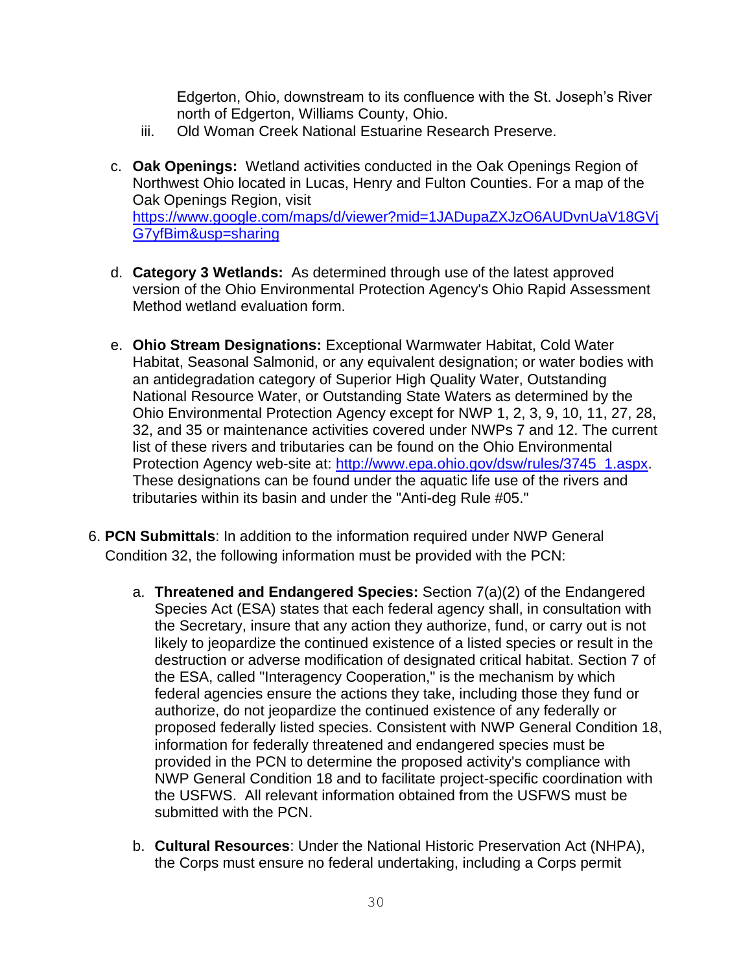Edgerton, Ohio, downstream to its confluence with the St. Joseph's River north of Edgerton, Williams County, Ohio.

- iii. Old Woman Creek National Estuarine Research Preserve.
- c. **Oak Openings:** Wetland activities conducted in the Oak Openings Region of Northwest Ohio located in Lucas, Henry and Fulton Counties. For a map of the Oak Openings Region, visit [https://www.google.com/maps/d/viewer?mid=1JADupaZXJzO6AUDvnUaV18GVj](https://www.google.com/maps/d/viewer?mid=1JADupaZXJzO6AUDvnUaV18GVjG7yfBim&usp=sharing) [G7yfBim&usp=sharing](https://www.google.com/maps/d/viewer?mid=1JADupaZXJzO6AUDvnUaV18GVjG7yfBim&usp=sharing)
- d. **Category 3 Wetlands:** As determined through use of the latest approved version of the Ohio Environmental Protection Agency's Ohio Rapid Assessment Method wetland evaluation form.
- e. **Ohio Stream Designations:** Exceptional Warmwater Habitat, Cold Water Habitat, Seasonal Salmonid, or any equivalent designation; or water bodies with an antidegradation category of Superior High Quality Water, Outstanding National Resource Water, or Outstanding State Waters as determined by the Ohio Environmental Protection Agency except for NWP 1, 2, 3, 9, 10, 11, 27, 28, 32, and 35 or maintenance activities covered under NWPs 7 and 12. The current list of these rivers and tributaries can be found on the Ohio Environmental Protection Agency web-site at: [http://www.epa.ohio.gov/dsw/rules/3745\\_1.aspx.](http://www.epa.ohio.gov/dsw/rules/3745_1.aspx) These designations can be found under the aquatic life use of the rivers and tributaries within its basin and under the "Anti-deg Rule #05."
- 6. **PCN Submittals**: In addition to the information required under NWP General Condition 32, the following information must be provided with the PCN:
	- a. **Threatened and Endangered Species:** Section 7(a)(2) of the Endangered Species Act (ESA) states that each federal agency shall, in consultation with the Secretary, insure that any action they authorize, fund, or carry out is not likely to jeopardize the continued existence of a listed species or result in the destruction or adverse modification of designated critical habitat. Section 7 of the ESA, called "Interagency Cooperation," is the mechanism by which federal agencies ensure the actions they take, including those they fund or authorize, do not jeopardize the continued existence of any federally or proposed federally listed species. Consistent with NWP General Condition 18, information for federally threatened and endangered species must be provided in the PCN to determine the proposed activity's compliance with NWP General Condition 18 and to facilitate project-specific coordination with the USFWS. All relevant information obtained from the USFWS must be submitted with the PCN.
	- b. **Cultural Resources**: Under the National Historic Preservation Act (NHPA), the Corps must ensure no federal undertaking, including a Corps permit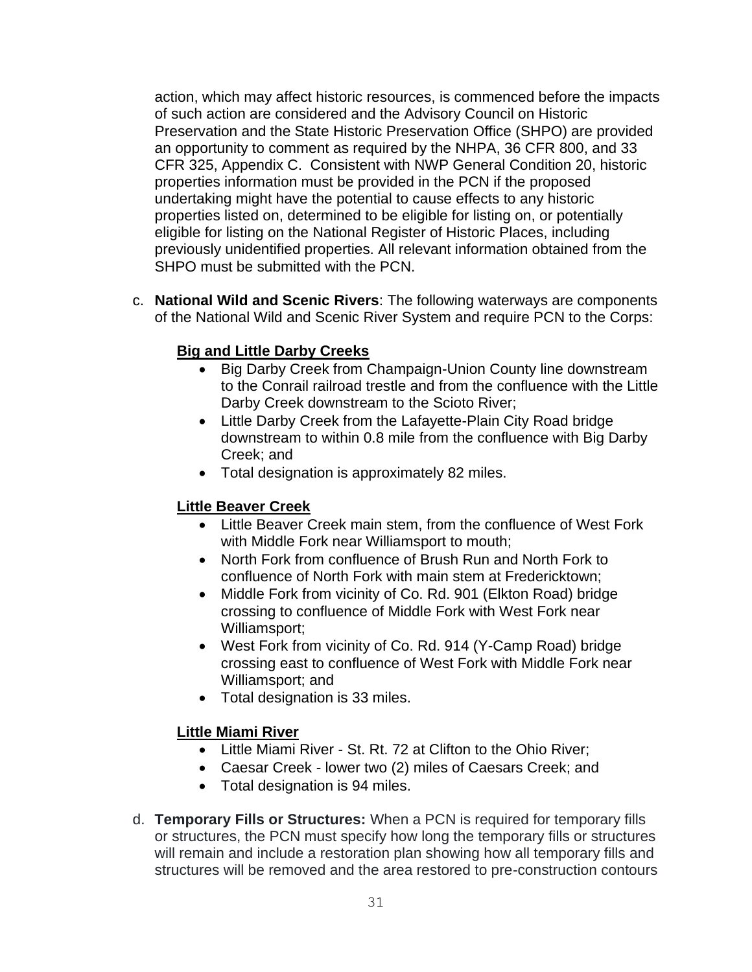action, which may affect historic resources, is commenced before the impacts of such action are considered and the Advisory Council on Historic Preservation and the State Historic Preservation Office (SHPO) are provided an opportunity to comment as required by the NHPA, 36 CFR 800, and 33 CFR 325, Appendix C. Consistent with NWP General Condition 20, historic properties information must be provided in the PCN if the proposed undertaking might have the potential to cause effects to any historic properties listed on, determined to be eligible for listing on, or potentially eligible for listing on the National Register of Historic Places, including previously unidentified properties. All relevant information obtained from the SHPO must be submitted with the PCN.

c. **National Wild and Scenic Rivers**: The following waterways are components of the National Wild and Scenic River System and require PCN to the Corps:

## **Big and Little Darby Creeks**

- Big Darby Creek from Champaign-Union County line downstream to the Conrail railroad trestle and from the confluence with the Little Darby Creek downstream to the Scioto River;
- Little Darby Creek from the Lafayette-Plain City Road bridge downstream to within 0.8 mile from the confluence with Big Darby Creek; and
- Total designation is approximately 82 miles.

## **Little Beaver Creek**

- Little Beaver Creek main stem, from the confluence of West Fork with Middle Fork near Williamsport to mouth;
- North Fork from confluence of Brush Run and North Fork to confluence of North Fork with main stem at Fredericktown;
- Middle Fork from vicinity of Co. Rd. 901 (Elkton Road) bridge crossing to confluence of Middle Fork with West Fork near Williamsport;
- West Fork from vicinity of Co. Rd. 914 (Y-Camp Road) bridge crossing east to confluence of West Fork with Middle Fork near Williamsport; and
- Total designation is 33 miles.

## **Little Miami River**

- Little Miami River St. Rt. 72 at Clifton to the Ohio River;
- Caesar Creek lower two (2) miles of Caesars Creek; and
- Total designation is 94 miles.
- d. **Temporary Fills or Structures:** When a PCN is required for temporary fills or structures, the PCN must specify how long the temporary fills or structures will remain and include a restoration plan showing how all temporary fills and structures will be removed and the area restored to pre-construction contours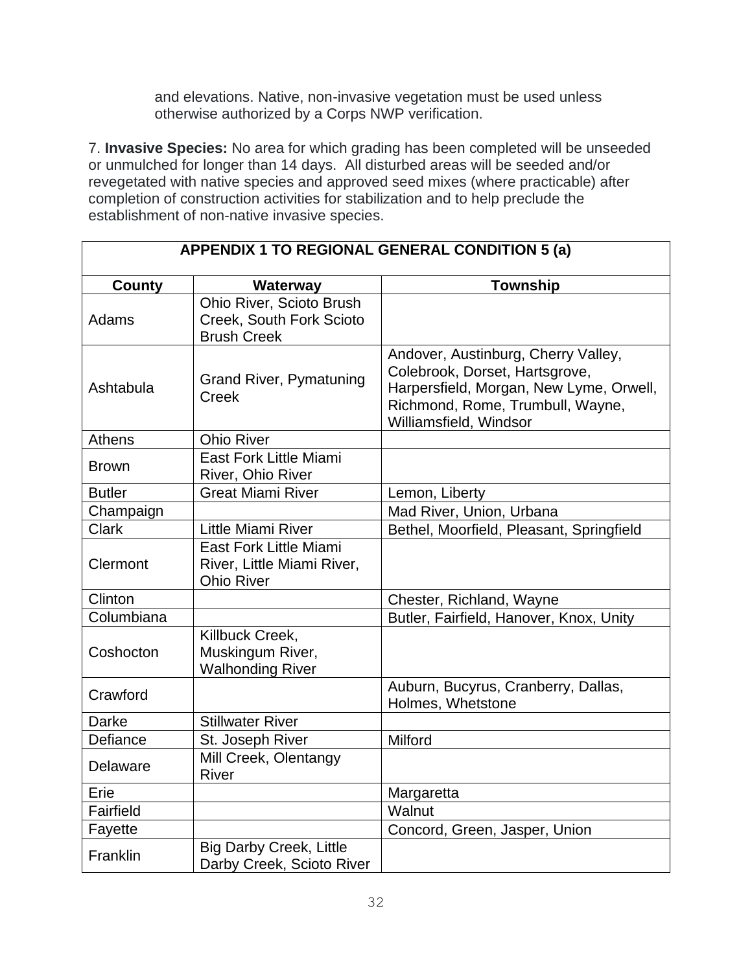and elevations. Native, non-invasive vegetation must be used unless otherwise authorized by a Corps NWP verification.

7. **Invasive Species:** No area for which grading has been completed will be unseeded or unmulched for longer than 14 days. All disturbed areas will be seeded and/or revegetated with native species and approved seed mixes (where practicable) after completion of construction activities for stabilization and to help preclude the establishment of non-native invasive species.

| <b>APPENDIX 1 TO REGIONAL GENERAL CONDITION 5 (a)</b> |                                                                            |                                                                                                                                                                                |  |  |
|-------------------------------------------------------|----------------------------------------------------------------------------|--------------------------------------------------------------------------------------------------------------------------------------------------------------------------------|--|--|
| <b>County</b>                                         | Waterway                                                                   | <b>Township</b>                                                                                                                                                                |  |  |
| Adams                                                 | Ohio River, Scioto Brush<br>Creek, South Fork Scioto<br><b>Brush Creek</b> |                                                                                                                                                                                |  |  |
| Ashtabula                                             | <b>Grand River, Pymatuning</b><br><b>Creek</b>                             | Andover, Austinburg, Cherry Valley,<br>Colebrook, Dorset, Hartsgrove,<br>Harpersfield, Morgan, New Lyme, Orwell,<br>Richmond, Rome, Trumbull, Wayne,<br>Williamsfield, Windsor |  |  |
| <b>Athens</b>                                         | <b>Ohio River</b>                                                          |                                                                                                                                                                                |  |  |
| Brown                                                 | East Fork Little Miami<br>River, Ohio River                                |                                                                                                                                                                                |  |  |
| <b>Butler</b>                                         | <b>Great Miami River</b>                                                   | Lemon, Liberty                                                                                                                                                                 |  |  |
| Champaign                                             |                                                                            | Mad River, Union, Urbana                                                                                                                                                       |  |  |
| <b>Clark</b>                                          | <b>Little Miami River</b>                                                  | Bethel, Moorfield, Pleasant, Springfield                                                                                                                                       |  |  |
| Clermont                                              | East Fork Little Miami<br>River, Little Miami River,<br><b>Ohio River</b>  |                                                                                                                                                                                |  |  |
| Clinton                                               |                                                                            | Chester, Richland, Wayne                                                                                                                                                       |  |  |
| Columbiana                                            |                                                                            | Butler, Fairfield, Hanover, Knox, Unity                                                                                                                                        |  |  |
| Coshocton                                             | Killbuck Creek,<br>Muskingum River,<br><b>Walhonding River</b>             |                                                                                                                                                                                |  |  |
| Crawford                                              |                                                                            | Auburn, Bucyrus, Cranberry, Dallas,<br>Holmes, Whetstone                                                                                                                       |  |  |
| Darke                                                 | <b>Stillwater River</b>                                                    |                                                                                                                                                                                |  |  |
| Defiance                                              | St. Joseph River                                                           | Milford                                                                                                                                                                        |  |  |
| Delaware                                              | Mill Creek, Olentangy<br><b>River</b>                                      |                                                                                                                                                                                |  |  |
| Erie                                                  |                                                                            | Margaretta                                                                                                                                                                     |  |  |
| Fairfield                                             |                                                                            | Walnut                                                                                                                                                                         |  |  |
| Fayette                                               |                                                                            | Concord, Green, Jasper, Union                                                                                                                                                  |  |  |
| Franklin                                              | <b>Big Darby Creek, Little</b><br>Darby Creek, Scioto River                |                                                                                                                                                                                |  |  |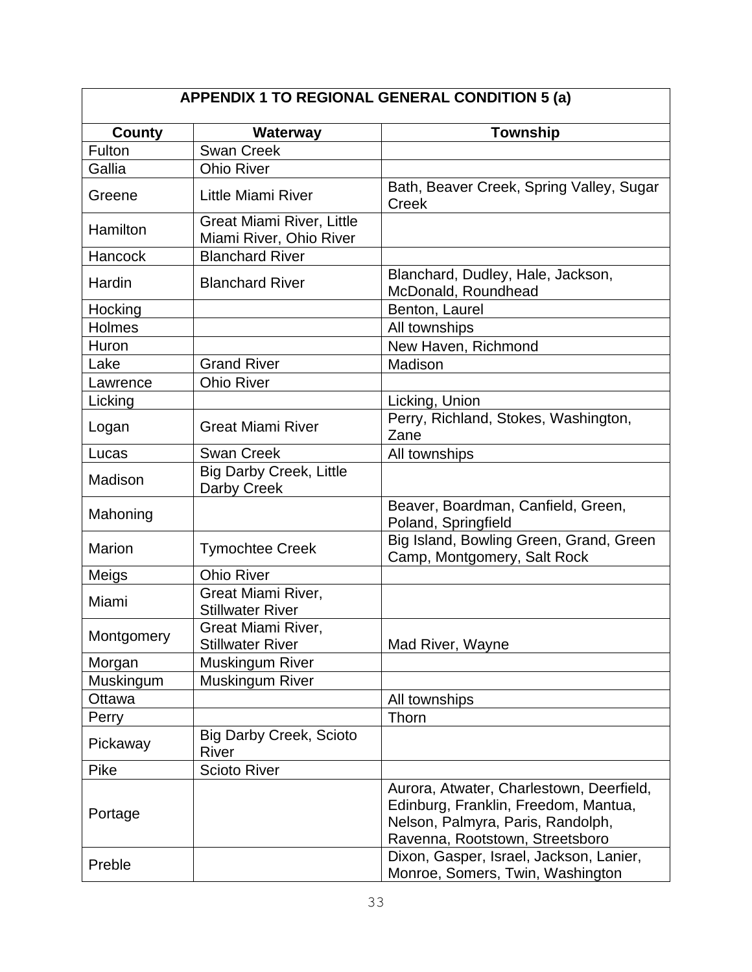| APPENDIX 1 TO REGIONAL GENERAL CONDITION 5 (a) |                                                             |                                                                                                                                                          |  |  |
|------------------------------------------------|-------------------------------------------------------------|----------------------------------------------------------------------------------------------------------------------------------------------------------|--|--|
| <b>County</b>                                  | Waterway                                                    | Township                                                                                                                                                 |  |  |
| Fulton                                         | <b>Swan Creek</b>                                           |                                                                                                                                                          |  |  |
| Gallia                                         | <b>Ohio River</b>                                           |                                                                                                                                                          |  |  |
| Greene                                         | <b>Little Miami River</b>                                   | Bath, Beaver Creek, Spring Valley, Sugar<br>Creek                                                                                                        |  |  |
| Hamilton                                       | <b>Great Miami River, Little</b><br>Miami River, Ohio River |                                                                                                                                                          |  |  |
| Hancock                                        | <b>Blanchard River</b>                                      |                                                                                                                                                          |  |  |
| Hardin                                         | <b>Blanchard River</b>                                      | Blanchard, Dudley, Hale, Jackson,<br>McDonald, Roundhead                                                                                                 |  |  |
| Hocking                                        |                                                             | Benton, Laurel                                                                                                                                           |  |  |
| Holmes                                         |                                                             | All townships                                                                                                                                            |  |  |
| Huron                                          |                                                             | New Haven, Richmond                                                                                                                                      |  |  |
| Lake                                           | <b>Grand River</b>                                          | Madison                                                                                                                                                  |  |  |
| Lawrence                                       | <b>Ohio River</b>                                           |                                                                                                                                                          |  |  |
| Licking                                        |                                                             | Licking, Union                                                                                                                                           |  |  |
| Logan                                          | <b>Great Miami River</b>                                    | Perry, Richland, Stokes, Washington,<br>Zane                                                                                                             |  |  |
| Lucas                                          | <b>Swan Creek</b>                                           | All townships                                                                                                                                            |  |  |
| Madison                                        | <b>Big Darby Creek, Little</b><br>Darby Creek               |                                                                                                                                                          |  |  |
| Mahoning                                       |                                                             | Beaver, Boardman, Canfield, Green,<br>Poland, Springfield                                                                                                |  |  |
| <b>Marion</b>                                  | <b>Tymochtee Creek</b>                                      | Big Island, Bowling Green, Grand, Green<br>Camp, Montgomery, Salt Rock                                                                                   |  |  |
| Meigs                                          | <b>Ohio River</b>                                           |                                                                                                                                                          |  |  |
| Miami                                          | Great Miami River,<br><b>Stillwater River</b>               |                                                                                                                                                          |  |  |
| Montgomery                                     | Great Miami River,<br><b>Stillwater River</b>               | Mad River, Wayne                                                                                                                                         |  |  |
| Morgan                                         | <b>Muskingum River</b>                                      |                                                                                                                                                          |  |  |
| Muskingum                                      | Muskingum River                                             |                                                                                                                                                          |  |  |
| Ottawa                                         |                                                             | All townships                                                                                                                                            |  |  |
| Perry                                          |                                                             | Thorn                                                                                                                                                    |  |  |
| Pickaway                                       | <b>Big Darby Creek, Scioto</b><br>River                     |                                                                                                                                                          |  |  |
| Pike                                           | <b>Scioto River</b>                                         |                                                                                                                                                          |  |  |
| Portage                                        |                                                             | Aurora, Atwater, Charlestown, Deerfield,<br>Edinburg, Franklin, Freedom, Mantua,<br>Nelson, Palmyra, Paris, Randolph,<br>Ravenna, Rootstown, Streetsboro |  |  |
| Preble                                         |                                                             | Dixon, Gasper, Israel, Jackson, Lanier,<br>Monroe, Somers, Twin, Washington                                                                              |  |  |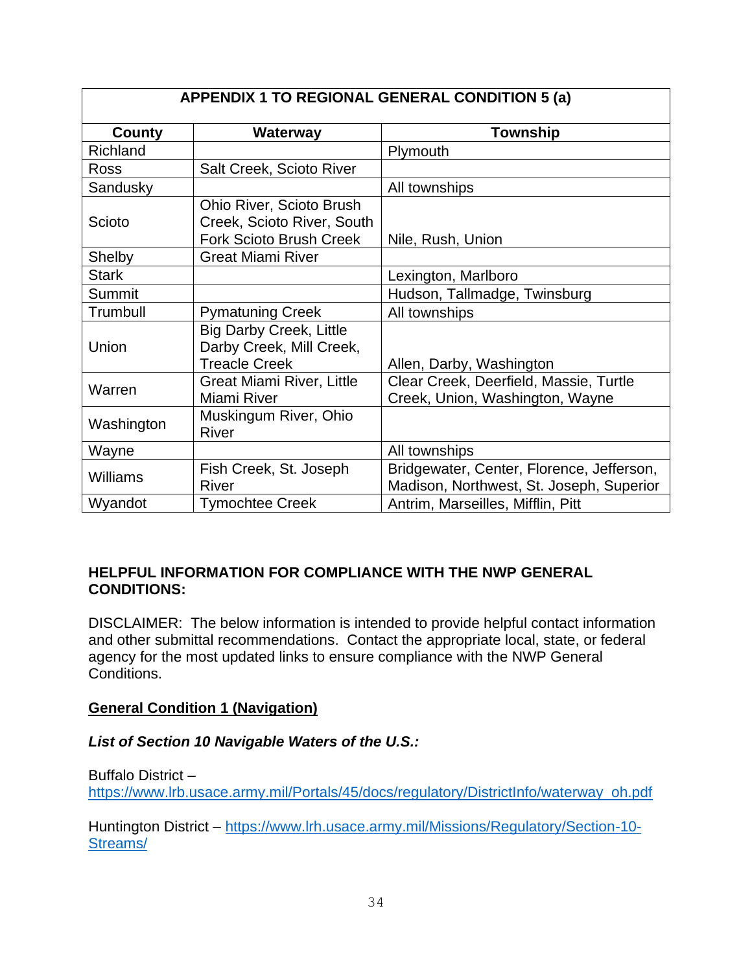| APPENDIX 1 TO REGIONAL GENERAL CONDITION 5 (a) |                                  |                                           |  |  |
|------------------------------------------------|----------------------------------|-------------------------------------------|--|--|
| County                                         | Waterway                         | <b>Township</b>                           |  |  |
| Richland                                       |                                  | Plymouth                                  |  |  |
| <b>Ross</b>                                    | Salt Creek, Scioto River         |                                           |  |  |
| Sandusky                                       |                                  | All townships                             |  |  |
|                                                | <b>Ohio River, Scioto Brush</b>  |                                           |  |  |
| Scioto                                         | Creek, Scioto River, South       |                                           |  |  |
|                                                | <b>Fork Scioto Brush Creek</b>   | Nile, Rush, Union                         |  |  |
| Shelby                                         | <b>Great Miami River</b>         |                                           |  |  |
| <b>Stark</b>                                   |                                  | Lexington, Marlboro                       |  |  |
| Summit                                         |                                  | Hudson, Tallmadge, Twinsburg              |  |  |
| Trumbull                                       | <b>Pymatuning Creek</b>          | All townships                             |  |  |
|                                                | <b>Big Darby Creek, Little</b>   |                                           |  |  |
| Union                                          | Darby Creek, Mill Creek,         |                                           |  |  |
|                                                | <b>Treacle Creek</b>             | Allen, Darby, Washington                  |  |  |
| Warren                                         | <b>Great Miami River, Little</b> | Clear Creek, Deerfield, Massie, Turtle    |  |  |
|                                                | Miami River                      | Creek, Union, Washington, Wayne           |  |  |
| Washington                                     | Muskingum River, Ohio            |                                           |  |  |
|                                                | River                            |                                           |  |  |
| Wayne                                          |                                  | All townships                             |  |  |
| <b>Williams</b>                                | Fish Creek, St. Joseph           | Bridgewater, Center, Florence, Jefferson, |  |  |
|                                                | <b>River</b>                     | Madison, Northwest, St. Joseph, Superior  |  |  |
| Wyandot                                        | <b>Tymochtee Creek</b>           | Antrim, Marseilles, Mifflin, Pitt         |  |  |

#### **HELPFUL INFORMATION FOR COMPLIANCE WITH THE NWP GENERAL CONDITIONS:**

DISCLAIMER: The below information is intended to provide helpful contact information and other submittal recommendations. Contact the appropriate local, state, or federal agency for the most updated links to ensure compliance with the NWP General Conditions.

## **General Condition 1 (Navigation)**

*List of Section 10 Navigable Waters of the U.S.:*

Buffalo District – [https://www.lrb.usace.army.mil/Portals/45/docs/regulatory/DistrictInfo/waterway\\_oh.pdf](https://www.lrb.usace.army.mil/Portals/45/docs/regulatory/DistrictInfo/waterway_oh.pdf)

Huntington District – [https://www.lrh.usace.army.mil/Missions/Regulatory/Section-10-](https://www.lrh.usace.army.mil/Missions/Regulatory/Section-10-Streams/) [Streams/](https://www.lrh.usace.army.mil/Missions/Regulatory/Section-10-Streams/)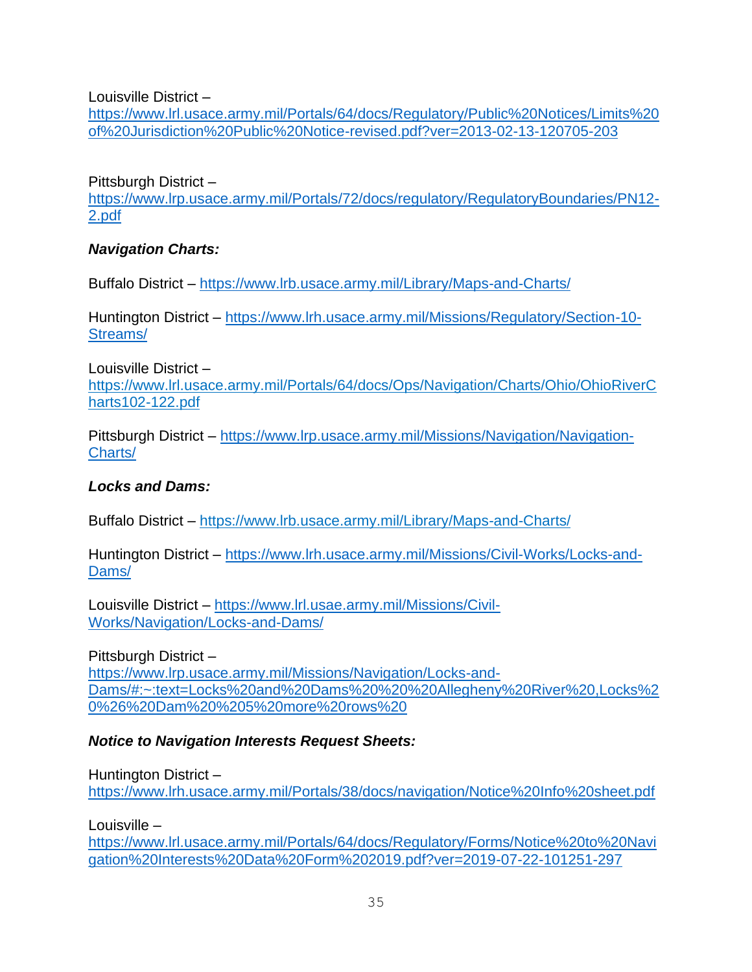Louisville District –

[https://www.lrl.usace.army.mil/Portals/64/docs/Regulatory/Public%20Notices/Limits%20](https://www.lrl.usace.army.mil/Portals/64/docs/Regulatory/Public%20Notices/Limits%20of%20Jurisdiction%20Public%20Notice-revised.pdf?ver=2013-02-13-120705-203) [of%20Jurisdiction%20Public%20Notice-revised.pdf?ver=2013-02-13-120705-203](https://www.lrl.usace.army.mil/Portals/64/docs/Regulatory/Public%20Notices/Limits%20of%20Jurisdiction%20Public%20Notice-revised.pdf?ver=2013-02-13-120705-203)

Pittsburgh District –

[https://www.lrp.usace.army.mil/Portals/72/docs/regulatory/RegulatoryBoundaries/PN12-](https://www.lrp.usace.army.mil/Portals/72/docs/regulatory/RegulatoryBoundaries/PN12-2.pdf) [2.pdf](https://www.lrp.usace.army.mil/Portals/72/docs/regulatory/RegulatoryBoundaries/PN12-2.pdf)

#### *Navigation Charts:*

Buffalo District – <https://www.lrb.usace.army.mil/Library/Maps-and-Charts/>

Huntington District – [https://www.lrh.usace.army.mil/Missions/Regulatory/Section-10-](https://www.lrh.usace.army.mil/Missions/Regulatory/Section-10-Streams/) [Streams/](https://www.lrh.usace.army.mil/Missions/Regulatory/Section-10-Streams/)

Louisville District – https://www.lrl.usace.army.mil/Portals/64/docs/Ops/Navigation/Charts/Ohio/OhioRiverC harts102-122.pdf

Pittsburgh District – [https://www.lrp.usace.army.mil/Missions/Navigation/Navigation-](https://www.lrp.usace.army.mil/Missions/Navigation/Navigation-Charts/)[Charts/](https://www.lrp.usace.army.mil/Missions/Navigation/Navigation-Charts/)

#### *Locks and Dams:*

Buffalo District – https://www.lrb.usace.army.mil/Library/Maps-and-Charts/

Huntington District – [https://www.lrh.usace.army.mil/Missions/Civil-Works/Locks-and-](https://www.lrh.usace.army.mil/Missions/Civil-Works/Locks-and-Dams/)[Dams/](https://www.lrh.usace.army.mil/Missions/Civil-Works/Locks-and-Dams/)

Louisville District – [https://www.lrl.usae.army.mil/Missions/Civil-](https://www.lrl.usae.army.mil/Missions/Civil-Works/Navigation/Locks-and-Dams/)[Works/Navigation/Locks-and-Dams/](https://www.lrl.usae.army.mil/Missions/Civil-Works/Navigation/Locks-and-Dams/)

Pittsburgh District –

[https://www.lrp.usace.army.mil/Missions/Navigation/Locks-and-](https://www.lrp.usace.army.mil/Missions/Navigation/Locks-and-Dams/#:~:text=Locks%20and%20Dams%20%20%20Allegheny%20River%20,Locks%20%26%20Dam%20%205%20more%20rows%20)[Dams/#:~:text=Locks%20and%20Dams%20%20%20Allegheny%20River%20,Locks%2](https://www.lrp.usace.army.mil/Missions/Navigation/Locks-and-Dams/#:~:text=Locks%20and%20Dams%20%20%20Allegheny%20River%20,Locks%20%26%20Dam%20%205%20more%20rows%20) [0%26%20Dam%20%205%20more%20rows%20](https://www.lrp.usace.army.mil/Missions/Navigation/Locks-and-Dams/#:~:text=Locks%20and%20Dams%20%20%20Allegheny%20River%20,Locks%20%26%20Dam%20%205%20more%20rows%20)

## *Notice to Navigation Interests Request Sheets:*

Huntington District – <https://www.lrh.usace.army.mil/Portals/38/docs/navigation/Notice%20Info%20sheet.pdf>

Louisville –

[https://www.lrl.usace.army.mil/Portals/64/docs/Regulatory/Forms/Notice%20to%20Navi](https://www.lrl.usace.army.mil/Portals/64/docs/Regulatory/Forms/Notice%20to%20Navigation%20Interests%20Data%20Form%202019.pdf?ver=2019-07-22-101251-297) [gation%20Interests%20Data%20Form%202019.pdf?ver=2019-07-22-101251-297](https://www.lrl.usace.army.mil/Portals/64/docs/Regulatory/Forms/Notice%20to%20Navigation%20Interests%20Data%20Form%202019.pdf?ver=2019-07-22-101251-297)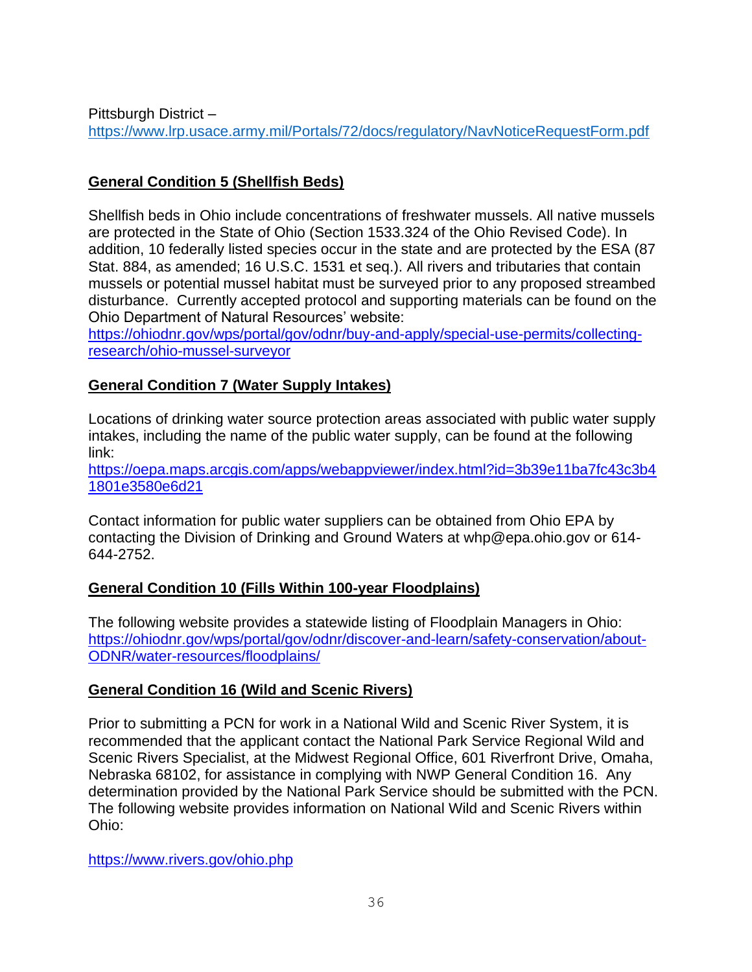Pittsburgh District – <https://www.lrp.usace.army.mil/Portals/72/docs/regulatory/NavNoticeRequestForm.pdf>

# **General Condition 5 (Shellfish Beds)**

Shellfish beds in Ohio include concentrations of freshwater mussels. All native mussels are protected in the State of Ohio (Section 1533.324 of the Ohio Revised Code). In addition, 10 federally listed species occur in the state and are protected by the ESA (87 Stat. 884, as amended; 16 U.S.C. 1531 et seq.). All rivers and tributaries that contain mussels or potential mussel habitat must be surveyed prior to any proposed streambed disturbance. Currently accepted protocol and supporting materials can be found on the Ohio Department of Natural Resources' website:

[https://ohiodnr.gov/wps/portal/gov/odnr/buy-and-apply/special-use-permits/collecting](https://ohiodnr.gov/wps/portal/gov/odnr/buy-and-apply/special-use-permits/collecting-research/ohio-mussel-surveyor)[research/ohio-mussel-surveyor](https://ohiodnr.gov/wps/portal/gov/odnr/buy-and-apply/special-use-permits/collecting-research/ohio-mussel-surveyor)

## **General Condition 7 (Water Supply Intakes)**

Locations of drinking water source protection areas associated with public water supply intakes, including the name of the public water supply, can be found at the following link:

[https://oepa.maps.arcgis.com/apps/webappviewer/index.html?id=3b39e11ba7fc43c3b4](https://oepa.maps.arcgis.com/apps/webappviewer/index.html?id=3b39e11ba7fc43c3b41801e3580e6d21) [1801e3580e6d21](https://oepa.maps.arcgis.com/apps/webappviewer/index.html?id=3b39e11ba7fc43c3b41801e3580e6d21)

Contact information for public water suppliers can be obtained from Ohio EPA by contacting the Division of Drinking and Ground Waters at whp@epa.ohio.gov or 614- 644-2752.

## **General Condition 10 (Fills Within 100-year Floodplains)**

The following website provides a statewide listing of Floodplain Managers in Ohio: [https://ohiodnr.gov/wps/portal/gov/odnr/discover-and-learn/safety-conservation/about-](https://ohiodnr.gov/wps/portal/gov/odnr/discover-and-learn/safety-conservation/about-ODNR/water-resources/floodplains/)[ODNR/water-resources/floodplains/](https://ohiodnr.gov/wps/portal/gov/odnr/discover-and-learn/safety-conservation/about-ODNR/water-resources/floodplains/)

## **General Condition 16 (Wild and Scenic Rivers)**

Prior to submitting a PCN for work in a National Wild and Scenic River System, it is recommended that the applicant contact the National Park Service Regional Wild and Scenic Rivers Specialist, at the Midwest Regional Office, 601 Riverfront Drive, Omaha, Nebraska 68102, for assistance in complying with NWP General Condition 16. Any determination provided by the National Park Service should be submitted with the PCN. The following website provides information on National Wild and Scenic Rivers within Ohio:

https://www.rivers.gov/ohio.php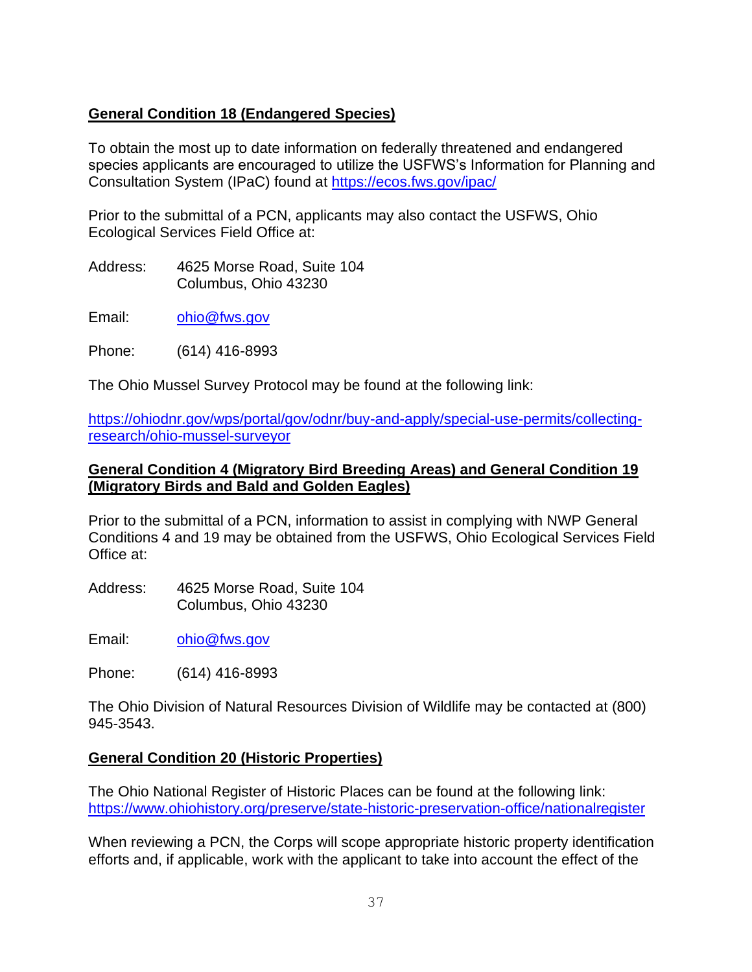# **General Condition 18 (Endangered Species)**

To obtain the most up to date information on federally threatened and endangered species applicants are encouraged to utilize the USFWS's Information for Planning and Consultation System (IPaC) found at<https://ecos.fws.gov/ipac/>

Prior to the submittal of a PCN, applicants may also contact the USFWS, Ohio Ecological Services Field Office at:

Address: 4625 Morse Road, Suite 104 Columbus, Ohio 43230

Email: [ohio@fws.gov](mailto:ohio@fws.gov)

Phone: (614) 416-8993

The Ohio Mussel Survey Protocol may be found at the following link:

[https://ohiodnr.gov/wps/portal/gov/odnr/buy-and-apply/special-use-permits/collecting](https://ohiodnr.gov/wps/portal/gov/odnr/buy-and-apply/special-use-permits/collecting-research/ohio-mussel-surveyor)[research/ohio-mussel-surveyor](https://ohiodnr.gov/wps/portal/gov/odnr/buy-and-apply/special-use-permits/collecting-research/ohio-mussel-surveyor)

#### **General Condition 4 (Migratory Bird Breeding Areas) and General Condition 19 (Migratory Birds and Bald and Golden Eagles)**

Prior to the submittal of a PCN, information to assist in complying with NWP General Conditions 4 and 19 may be obtained from the USFWS, Ohio Ecological Services Field Office at:

Address: 4625 Morse Road, Suite 104 Columbus, Ohio 43230

Email: [ohio@fws.gov](mailto:ohio@fws.gov)

Phone: (614) 416-8993

The Ohio Division of Natural Resources Division of Wildlife may be contacted at (800) 945-3543.

## **General Condition 20 (Historic Properties)**

The Ohio National Register of Historic Places can be found at the following link: <https://www.ohiohistory.org/preserve/state-historic-preservation-office/nationalregister>

When reviewing a PCN, the Corps will scope appropriate historic property identification efforts and, if applicable, work with the applicant to take into account the effect of the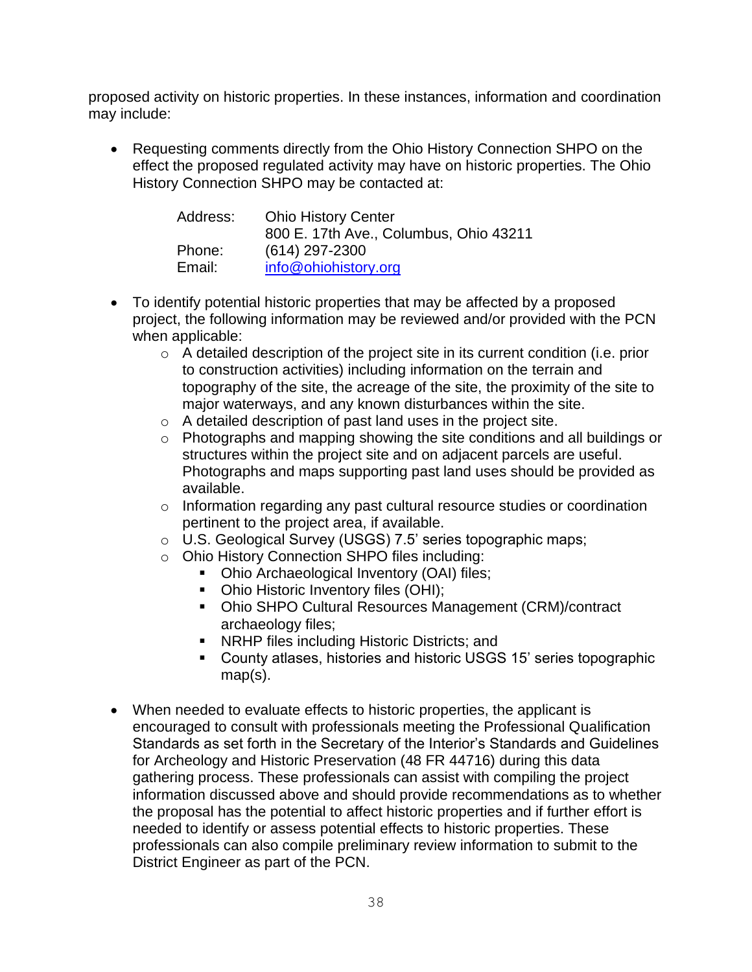proposed activity on historic properties. In these instances, information and coordination may include:

• Requesting comments directly from the Ohio History Connection SHPO on the effect the proposed regulated activity may have on historic properties. The Ohio History Connection SHPO may be contacted at:

| Address: | <b>Ohio History Center</b>             |  |
|----------|----------------------------------------|--|
|          | 800 E. 17th Ave., Columbus, Ohio 43211 |  |
| Phone:   | $(614)$ 297-2300                       |  |
| Email:   | info@ohiohistory.org                   |  |

- To identify potential historic properties that may be affected by a proposed project, the following information may be reviewed and/or provided with the PCN when applicable:
	- o A detailed description of the project site in its current condition (i.e. prior to construction activities) including information on the terrain and topography of the site, the acreage of the site, the proximity of the site to major waterways, and any known disturbances within the site.
	- o A detailed description of past land uses in the project site.
	- o Photographs and mapping showing the site conditions and all buildings or structures within the project site and on adjacent parcels are useful. Photographs and maps supporting past land uses should be provided as available.
	- o Information regarding any past cultural resource studies or coordination pertinent to the project area, if available.
	- o U.S. Geological Survey (USGS) 7.5' series topographic maps;
	- o Ohio History Connection SHPO files including:
		- Ohio Archaeological Inventory (OAI) files;
		- Ohio Historic Inventory files (OHI);
		- Ohio SHPO Cultural Resources Management (CRM)/contract archaeology files;
		- NRHP files including Historic Districts; and
		- County atlases, histories and historic USGS 15' series topographic map(s).
- When needed to evaluate effects to historic properties, the applicant is encouraged to consult with professionals meeting the Professional Qualification Standards as set forth in the Secretary of the Interior's Standards and Guidelines for Archeology and Historic Preservation (48 FR 44716) during this data gathering process. These professionals can assist with compiling the project information discussed above and should provide recommendations as to whether the proposal has the potential to affect historic properties and if further effort is needed to identify or assess potential effects to historic properties. These professionals can also compile preliminary review information to submit to the District Engineer as part of the PCN.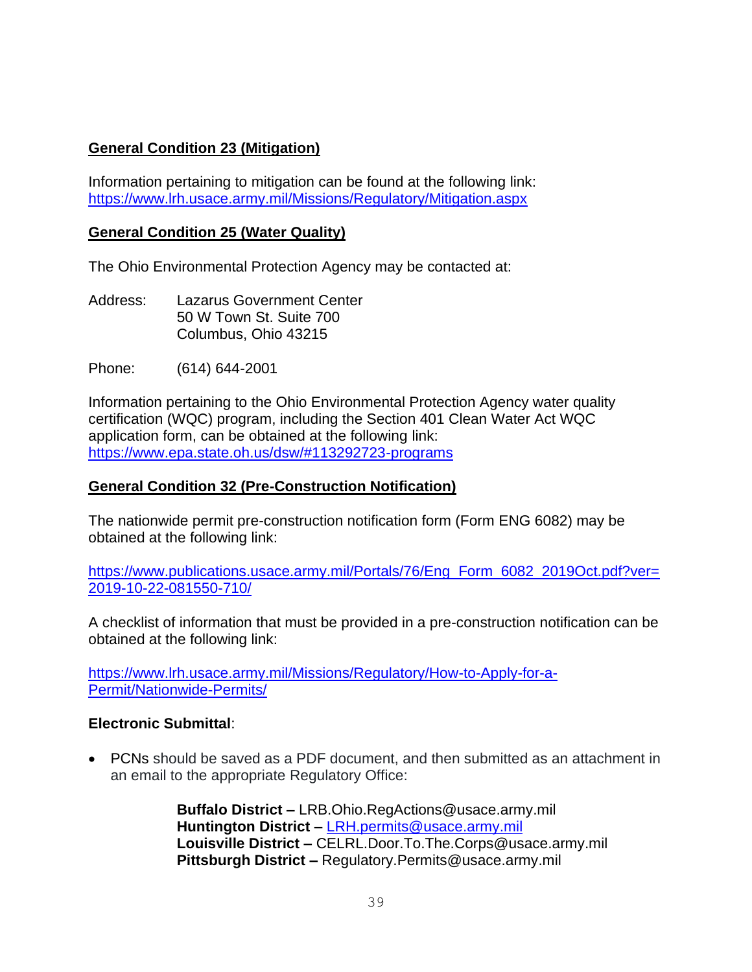# **General Condition 23 (Mitigation)**

Information pertaining to mitigation can be found at the following link: <https://www.lrh.usace.army.mil/Missions/Regulatory/Mitigation.aspx>

#### **General Condition 25 (Water Quality)**

The Ohio Environmental Protection Agency may be contacted at:

Address: Lazarus Government Center 50 W Town St. Suite 700 Columbus, Ohio 43215

Phone: (614) 644-2001

Information pertaining to the Ohio Environmental Protection Agency water quality certification (WQC) program, including the Section 401 Clean Water Act WQC application form, can be obtained at the following link: <https://www.epa.state.oh.us/dsw/#113292723-programs>

#### **General Condition 32 (Pre-Construction Notification)**

The nationwide permit pre-construction notification form (Form ENG 6082) may be obtained at the following link:

[https://www.publications.usace.army.mil/Portals/76/Eng\\_Form\\_6082\\_2019Oct.pdf?ver=](https://www.publications.usace.army.mil/Portals/76/Eng_Form_6082_2019Oct.pdf?ver=2019-10-22-081550-710/) [2019-10-22-081550-710/](https://www.publications.usace.army.mil/Portals/76/Eng_Form_6082_2019Oct.pdf?ver=2019-10-22-081550-710/)

A checklist of information that must be provided in a pre-construction notification can be obtained at the following link:

[https://www.lrh.usace.army.mil/Missions/Regulatory/How-to-Apply-for-a-](https://www.lrh.usace.army.mil/Missions/Regulatory/How-to-Apply-for-a-Permit/Nationwide-Permits/)[Permit/Nationwide-Permits/](https://www.lrh.usace.army.mil/Missions/Regulatory/How-to-Apply-for-a-Permit/Nationwide-Permits/)

#### **Electronic Submittal**:

• PCNs should be saved as a PDF document, and then submitted as an attachment in an email to the appropriate Regulatory Office:

> **Buffalo District –** LRB.Ohio.RegActions@usace.army.mil **Huntington District –** [LRH.permits@usace.army.mil](mailto:LRH.permits@usace.army.mil) **Louisville District –** CELRL.Door.To.The.Corps@usace.army.mil **Pittsburgh District –** Regulatory.Permits@usace.army.mil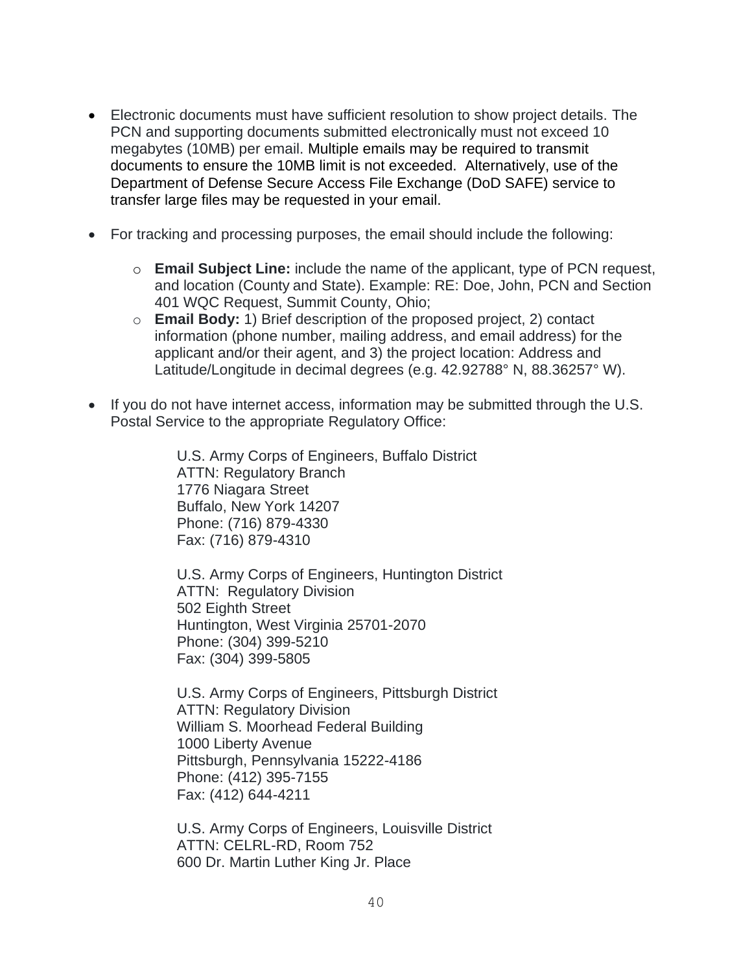- Electronic documents must have sufficient resolution to show project details. The PCN and supporting documents submitted electronically must not exceed 10 megabytes (10MB) per email. Multiple emails may be required to transmit documents to ensure the 10MB limit is not exceeded. Alternatively, use of the Department of Defense Secure Access File Exchange (DoD SAFE) service to transfer large files may be requested in your email.
- For tracking and processing purposes, the email should include the following:
	- o **Email Subject Line:** include the name of the applicant, type of PCN request, and location (County and State). Example: RE: Doe, John, PCN and Section 401 WQC Request, Summit County, Ohio;
	- o **Email Body:** 1) Brief description of the proposed project, 2) contact information (phone number, mailing address, and email address) for the applicant and/or their agent, and 3) the project location: Address and Latitude/Longitude in decimal degrees (e.g. 42.92788° N, 88.36257° W).
- If you do not have internet access, information may be submitted through the U.S. Postal Service to the appropriate Regulatory Office:

U.S. Army Corps of Engineers, Buffalo District ATTN: Regulatory Branch 1776 Niagara Street Buffalo, New York 14207 Phone: (716) 879-4330 Fax: (716) 879-4310

U.S. Army Corps of Engineers, Huntington District ATTN: Regulatory Division 502 Eighth Street Huntington, West Virginia 25701-2070 Phone: (304) 399-5210 Fax: (304) 399-5805

U.S. Army Corps of Engineers, Pittsburgh District ATTN: Regulatory Division William S. Moorhead Federal Building 1000 Liberty Avenue Pittsburgh, Pennsylvania 15222-4186 Phone: (412) 395-7155 Fax: (412) 644-4211

U.S. Army Corps of Engineers, Louisville District ATTN: CELRL-RD, Room 752 600 Dr. Martin Luther King Jr. Place